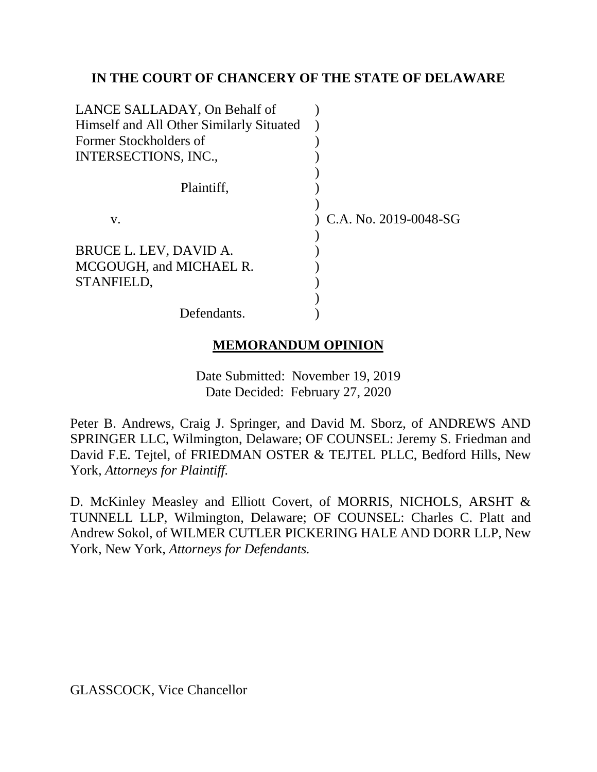### **IN THE COURT OF CHANCERY OF THE STATE OF DELAWARE**

| LANCE SALLADAY, On Behalf of             |                       |
|------------------------------------------|-----------------------|
| Himself and All Other Similarly Situated |                       |
| Former Stockholders of                   |                       |
| INTERSECTIONS, INC.,                     |                       |
|                                          |                       |
| Plaintiff,                               |                       |
|                                          |                       |
| V.                                       | C.A. No. 2019-0048-SG |
|                                          |                       |
| BRUCE L. LEV, DAVID A.                   |                       |
| MCGOUGH, and MICHAEL R.                  |                       |
| STANFIELD,                               |                       |
|                                          |                       |
| Defendants.                              |                       |

# **MEMORANDUM OPINION**

Date Submitted: November 19, 2019 Date Decided: February 27, 2020

Peter B. Andrews, Craig J. Springer, and David M. Sborz, of ANDREWS AND SPRINGER LLC, Wilmington, Delaware; OF COUNSEL: Jeremy S. Friedman and David F.E. Tejtel, of FRIEDMAN OSTER & TEJTEL PLLC, Bedford Hills, New York, *Attorneys for Plaintiff.*

D. McKinley Measley and Elliott Covert, of MORRIS, NICHOLS, ARSHT & TUNNELL LLP, Wilmington, Delaware; OF COUNSEL: Charles C. Platt and Andrew Sokol, of WILMER CUTLER PICKERING HALE AND DORR LLP, New York, New York, *Attorneys for Defendants.*

GLASSCOCK, Vice Chancellor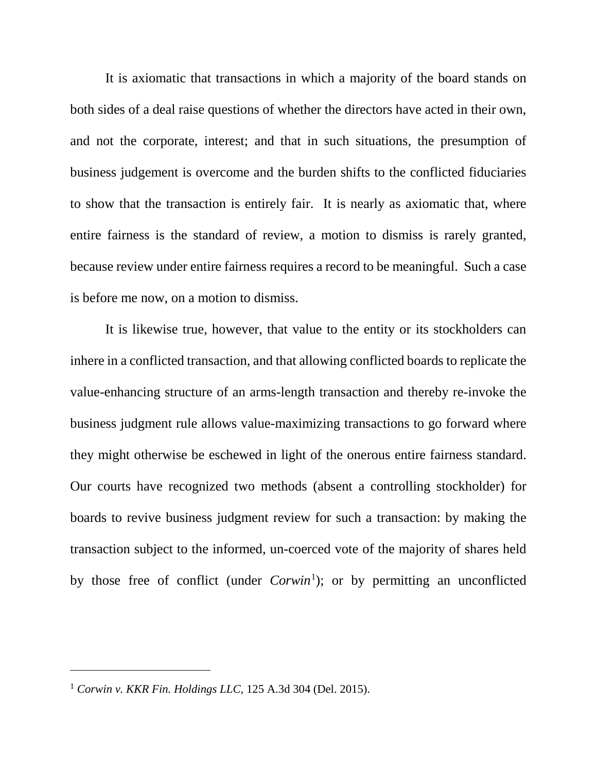It is axiomatic that transactions in which a majority of the board stands on both sides of a deal raise questions of whether the directors have acted in their own, and not the corporate, interest; and that in such situations, the presumption of business judgement is overcome and the burden shifts to the conflicted fiduciaries to show that the transaction is entirely fair. It is nearly as axiomatic that, where entire fairness is the standard of review, a motion to dismiss is rarely granted, because review under entire fairness requires a record to be meaningful. Such a case is before me now, on a motion to dismiss.

It is likewise true, however, that value to the entity or its stockholders can inhere in a conflicted transaction, and that allowing conflicted boards to replicate the value-enhancing structure of an arms-length transaction and thereby re-invoke the business judgment rule allows value-maximizing transactions to go forward where they might otherwise be eschewed in light of the onerous entire fairness standard. Our courts have recognized two methods (absent a controlling stockholder) for boards to revive business judgment review for such a transaction: by making the transaction subject to the informed, un-coerced vote of the majority of shares held by those free of conflict (under *Corwin*<sup>1</sup>); or by permitting an unconflicted

 $\overline{a}$ 

<sup>1</sup> *Corwin v. KKR Fin. Holdings LLC*, 125 A.3d 304 (Del. 2015).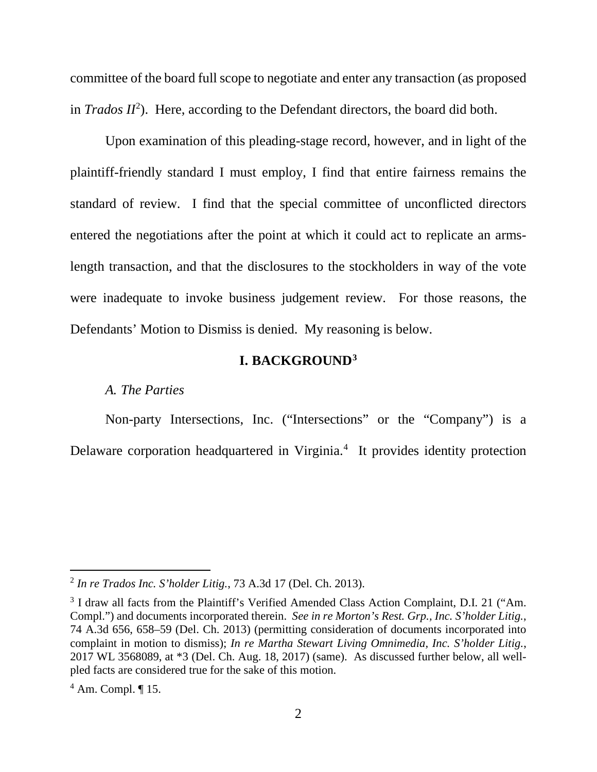committee of the board full scope to negotiate and enter any transaction (as proposed in  $Trados II<sup>2</sup>$ ). Here, according to the Defendant directors, the board did both.

Upon examination of this pleading-stage record, however, and in light of the plaintiff-friendly standard I must employ, I find that entire fairness remains the standard of review. I find that the special committee of unconflicted directors entered the negotiations after the point at which it could act to replicate an armslength transaction, and that the disclosures to the stockholders in way of the vote were inadequate to invoke business judgement review. For those reasons, the Defendants' Motion to Dismiss is denied. My reasoning is below.

### **I. BACKGROUND3**

#### *A. The Parties*

Non-party Intersections, Inc. ("Intersections" or the "Company") is a Delaware corporation headquartered in Virginia.<sup>4</sup> It provides identity protection

 <sup>2</sup> *In re Trados Inc. S'holder Litig.*, 73 A.3d 17 (Del. Ch. 2013).

<sup>&</sup>lt;sup>3</sup> I draw all facts from the Plaintiff's Verified Amended Class Action Complaint, D.I. 21 ("Am. Compl.") and documents incorporated therein. *See in re Morton's Rest. Grp., Inc. S'holder Litig.*, 74 A.3d 656, 658–59 (Del. Ch. 2013) (permitting consideration of documents incorporated into complaint in motion to dismiss); *In re Martha Stewart Living Omnimedia, Inc. S'holder Litig.*, 2017 WL 3568089, at \*3 (Del. Ch. Aug. 18, 2017) (same). As discussed further below, all wellpled facts are considered true for the sake of this motion.

 $<sup>4</sup>$  Am. Compl.  $\P$  15.</sup>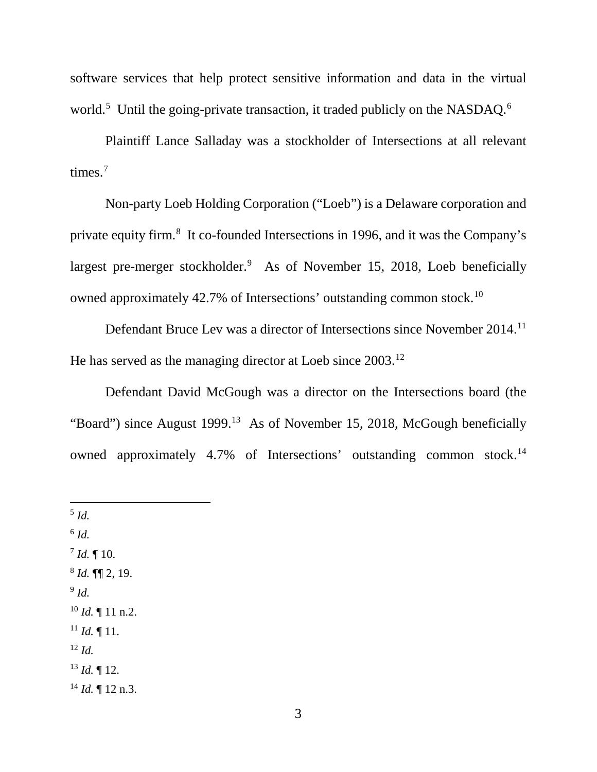software services that help protect sensitive information and data in the virtual world.<sup>5</sup> Until the going-private transaction, it traded publicly on the NASDAQ.<sup>6</sup>

Plaintiff Lance Salladay was a stockholder of Intersections at all relevant times.<sup>7</sup>

Non-party Loeb Holding Corporation ("Loeb") is a Delaware corporation and private equity firm.<sup>8</sup> It co-founded Intersections in 1996, and it was the Company's largest pre-merger stockholder.<sup>9</sup> As of November 15, 2018, Loeb beneficially owned approximately 42.7% of Intersections' outstanding common stock.10

Defendant Bruce Lev was a director of Intersections since November 2014.<sup>11</sup> He has served as the managing director at Loeb since 2003.<sup>12</sup>

Defendant David McGough was a director on the Intersections board (the "Board") since August 1999.<sup>13</sup> As of November 15, 2018, McGough beneficially owned approximately 4.7% of Intersections' outstanding common stock.<sup>14</sup>

 5 *Id.*  $^6$  *Id.*  $^{7}$  *Id.*  $\P$  10. <sup>8</sup> *Id.* ¶¶ 2, 19.  $9$  *Id.* <sup>10</sup> *Id.* ¶ 11 n.2.  $11$  *Id.* 11. <sup>12</sup> *Id.*  $^{13}$  *Id.*  $\llbracket$  12.  $14$  *Id.* 12 n.3.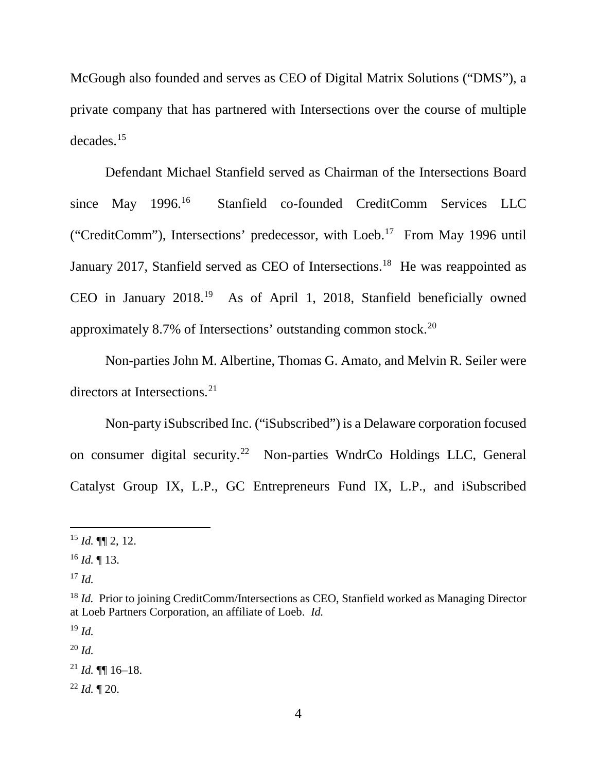McGough also founded and serves as CEO of Digital Matrix Solutions ("DMS"), a private company that has partnered with Intersections over the course of multiple decades.15

Defendant Michael Stanfield served as Chairman of the Intersections Board since May 1996.16 Stanfield co-founded CreditComm Services LLC ("CreditComm"), Intersections' predecessor, with Loeb. <sup>17</sup> From May 1996 until January 2017, Stanfield served as CEO of Intersections.<sup>18</sup> He was reappointed as CEO in January 2018.19 As of April 1, 2018, Stanfield beneficially owned approximately 8.7% of Intersections' outstanding common stock.20

Non-parties John M. Albertine, Thomas G. Amato, and Melvin R. Seiler were directors at Intersections.<sup>21</sup>

Non-party iSubscribed Inc. ("iSubscribed") is a Delaware corporation focused on consumer digital security.22 Non-parties WndrCo Holdings LLC, General Catalyst Group IX, L.P., GC Entrepreneurs Fund IX, L.P., and iSubscribed

 $^{22}$  *Id.*  $\blacksquare$  20.

 $15$  *Id.* **[16** 2, 12.

 $16$  *Id.* 13.

<sup>17</sup> *Id.*

<sup>&</sup>lt;sup>18</sup> *Id.* Prior to joining CreditComm/Intersections as CEO, Stanfield worked as Managing Director at Loeb Partners Corporation, an affiliate of Loeb. *Id.*

<sup>19</sup> *Id.*

<sup>20</sup> *Id.*

 $^{21}$  *Id.* **[16** 16 - 18.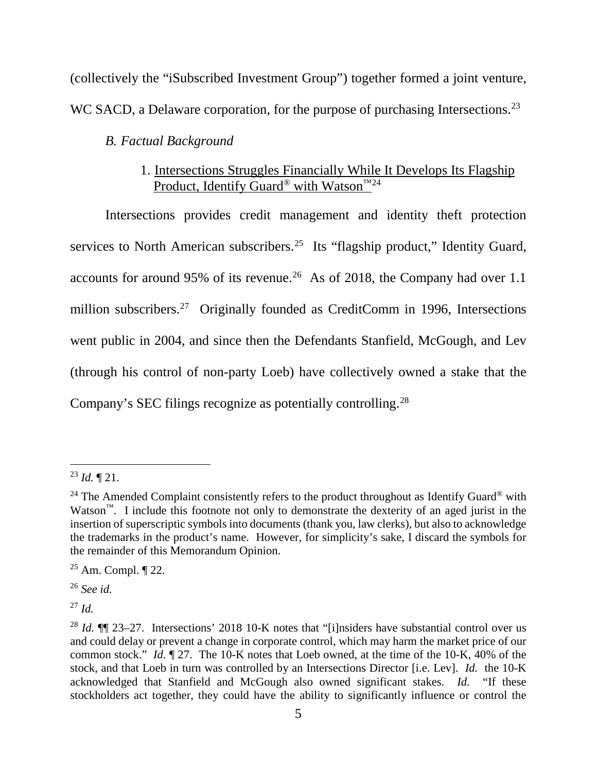(collectively the "iSubscribed Investment Group") together formed a joint venture, WC SACD, a Delaware corporation, for the purpose of purchasing Intersections.<sup>23</sup>

### *B. Factual Background*

# 1. Intersections Struggles Financially While It Develops Its Flagship Product, Identify Guard<sup>®</sup> with Watson<sup>™24</sup>

Intersections provides credit management and identity theft protection services to North American subscribers.<sup>25</sup> Its "flagship product," Identity Guard, accounts for around 95% of its revenue.<sup>26</sup> As of 2018, the Company had over 1.1 million subscribers.<sup>27</sup> Originally founded as CreditComm in 1996, Intersections went public in 2004, and since then the Defendants Stanfield, McGough, and Lev (through his control of non-party Loeb) have collectively owned a stake that the Company's SEC filings recognize as potentially controlling.28

 <sup>23</sup> *Id.* ¶ 21.

<sup>&</sup>lt;sup>24</sup> The Amended Complaint consistently refers to the product throughout as Identify Guard<sup>®</sup> with Watson<sup>™</sup>. I include this footnote not only to demonstrate the dexterity of an aged jurist in the insertion of superscriptic symbols into documents (thank you, law clerks), but also to acknowledge the trademarks in the product's name. However, for simplicity's sake, I discard the symbols for the remainder of this Memorandum Opinion.

<sup>25</sup> Am. Compl. ¶ 22.

<sup>26</sup> *See id.*

<sup>27</sup> *Id.*

<sup>&</sup>lt;sup>28</sup> *Id.* **[1]** 23–27. Intersections' 2018 10-K notes that "[i]nsiders have substantial control over us and could delay or prevent a change in corporate control, which may harm the market price of our common stock." *Id.* ¶ 27. The 10-K notes that Loeb owned, at the time of the 10-K, 40% of the stock, and that Loeb in turn was controlled by an Intersections Director [i.e. Lev]. *Id.* the 10-K acknowledged that Stanfield and McGough also owned significant stakes. *Id.* "If these stockholders act together, they could have the ability to significantly influence or control the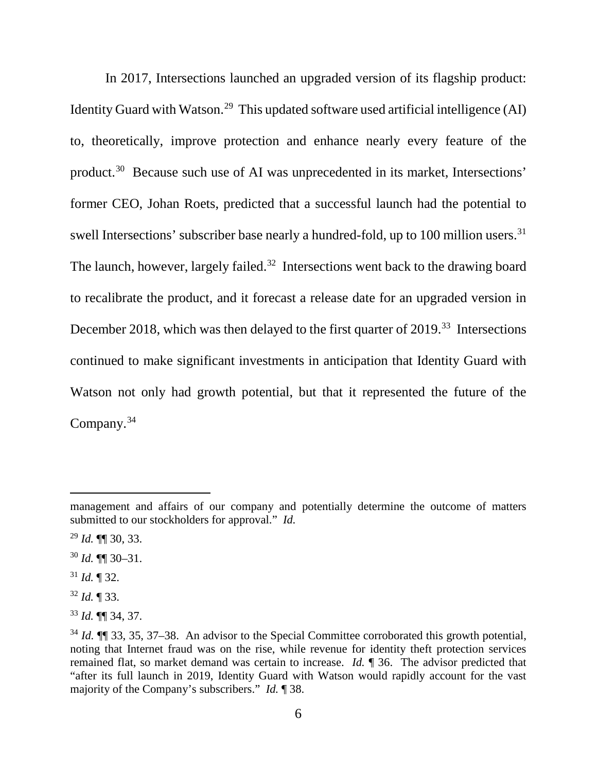In 2017, Intersections launched an upgraded version of its flagship product: Identity Guard with Watson.<sup>29</sup> This updated software used artificial intelligence (AI) to, theoretically, improve protection and enhance nearly every feature of the product.30 Because such use of AI was unprecedented in its market, Intersections' former CEO, Johan Roets, predicted that a successful launch had the potential to swell Intersections' subscriber base nearly a hundred-fold, up to 100 million users.<sup>31</sup> The launch, however, largely failed.<sup>32</sup> Intersections went back to the drawing board to recalibrate the product, and it forecast a release date for an upgraded version in December 2018, which was then delayed to the first quarter of 2019.<sup>33</sup> Intersections continued to make significant investments in anticipation that Identity Guard with Watson not only had growth potential, but that it represented the future of the Company.34

<sup>31</sup> *Id.* ¶ 32.

 $\overline{a}$ 

<sup>32</sup> *Id.* ¶ 33.

management and affairs of our company and potentially determine the outcome of matters submitted to our stockholders for approval." *Id.*

<sup>29</sup> *Id.* ¶¶ 30, 33.

<sup>30</sup> *Id.* ¶¶ 30–31.

<sup>33</sup> *Id.* ¶¶ 34, 37.

<sup>34</sup> *Id.* ¶¶ 33, 35, 37–38. An advisor to the Special Committee corroborated this growth potential, noting that Internet fraud was on the rise, while revenue for identity theft protection services remained flat, so market demand was certain to increase. *Id.* ¶ 36. The advisor predicted that "after its full launch in 2019, Identity Guard with Watson would rapidly account for the vast majority of the Company's subscribers." *Id.* ¶ 38.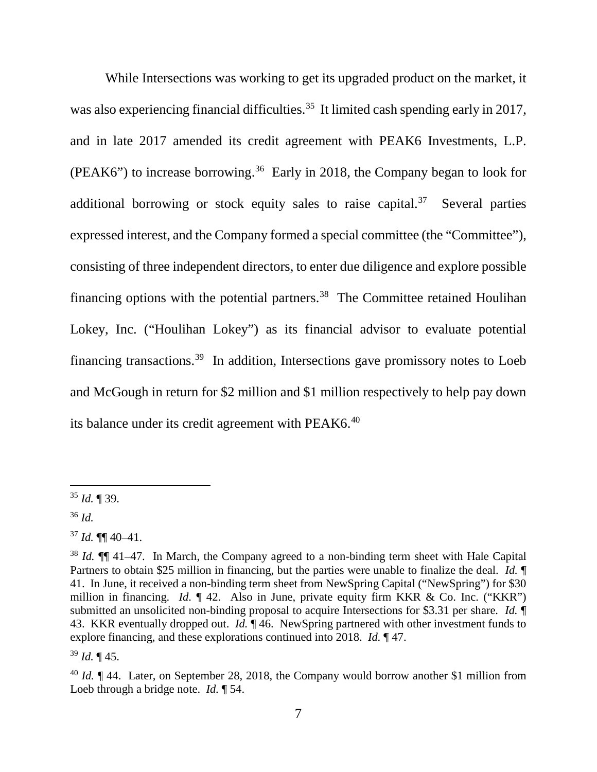While Intersections was working to get its upgraded product on the market, it was also experiencing financial difficulties.<sup>35</sup> It limited cash spending early in 2017, and in late 2017 amended its credit agreement with PEAK6 Investments, L.P. (PEAK6") to increase borrowing.<sup>36</sup> Early in 2018, the Company began to look for additional borrowing or stock equity sales to raise capital.<sup>37</sup> Several parties expressed interest, and the Company formed a special committee (the "Committee"), consisting of three independent directors, to enter due diligence and explore possible financing options with the potential partners. 38 The Committee retained Houlihan Lokey, Inc. ("Houlihan Lokey") as its financial advisor to evaluate potential financing transactions.39 In addition, Intersections gave promissory notes to Loeb and McGough in return for \$2 million and \$1 million respectively to help pay down its balance under its credit agreement with PEAK6.<sup>40</sup>

<sup>36</sup> *Id.*

<sup>39</sup> *Id.* ¶ 45.

 <sup>35</sup> *Id.* ¶ 39.

 $37$  *Id.* **¶** 40–41.

<sup>&</sup>lt;sup>38</sup> *Id.* **[1]** 41–47. In March, the Company agreed to a non-binding term sheet with Hale Capital Partners to obtain \$25 million in financing, but the parties were unable to finalize the deal. *Id.* ¶ 41. In June, it received a non-binding term sheet from NewSpring Capital ("NewSpring") for \$30 million in financing. *Id.* ¶ 42. Also in June, private equity firm KKR & Co. Inc. ("KKR") submitted an unsolicited non-binding proposal to acquire Intersections for \$3.31 per share. *Id.* ¶ 43. KKR eventually dropped out. *Id.* ¶ 46. NewSpring partnered with other investment funds to explore financing, and these explorations continued into 2018. *Id.* ¶ 47.

<sup>&</sup>lt;sup>40</sup> *Id.* ¶ 44. Later, on September 28, 2018, the Company would borrow another \$1 million from Loeb through a bridge note. *Id.* ¶ 54.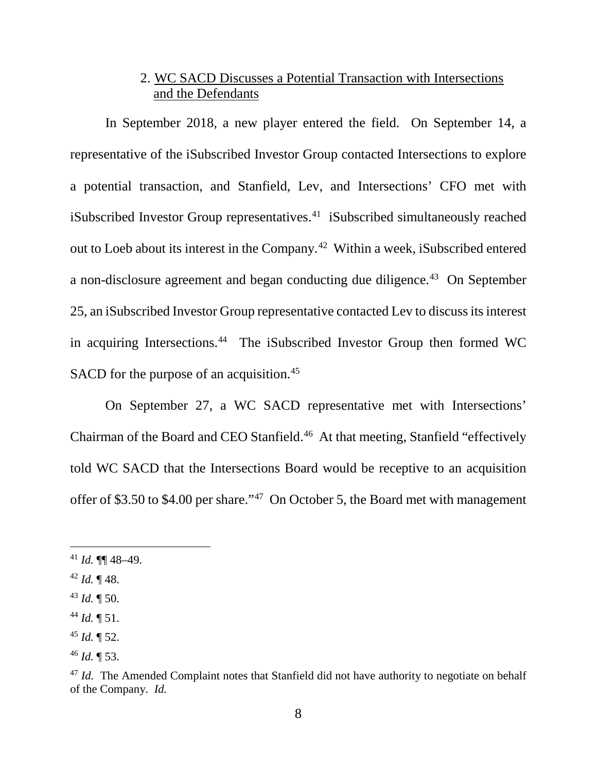# 2. WC SACD Discusses a Potential Transaction with Intersections and the Defendants

In September 2018, a new player entered the field. On September 14, a representative of the iSubscribed Investor Group contacted Intersections to explore a potential transaction, and Stanfield, Lev, and Intersections' CFO met with iSubscribed Investor Group representatives.<sup>41</sup> iSubscribed simultaneously reached out to Loeb about its interest in the Company.42 Within a week, iSubscribed entered a non-disclosure agreement and began conducting due diligence.<sup>43</sup> On September 25, an iSubscribed Investor Group representative contacted Lev to discuss its interest in acquiring Intersections.<sup>44</sup> The iSubscribed Investor Group then formed WC SACD for the purpose of an acquisition.<sup>45</sup>

On September 27, a WC SACD representative met with Intersections' Chairman of the Board and CEO Stanfield.46 At that meeting, Stanfield "effectively told WC SACD that the Intersections Board would be receptive to an acquisition offer of \$3.50 to \$4.00 per share."47 On October 5, the Board met with management

 $41$  *Id.* **¶** 48–49.

 $42$  *Id.*  $\P$  48.

<sup>43</sup> *Id.* ¶ 50.

<sup>44</sup> *Id.* ¶ 51.

<sup>45</sup> *Id.* ¶ 52.

<sup>46</sup> *Id.* ¶ 53.

<sup>&</sup>lt;sup>47</sup> *Id.* The Amended Complaint notes that Stanfield did not have authority to negotiate on behalf of the Company. *Id.*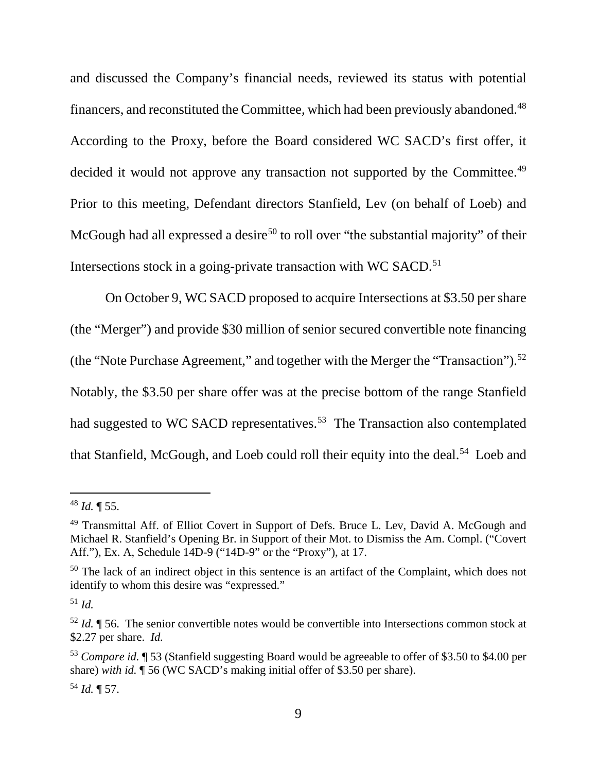and discussed the Company's financial needs, reviewed its status with potential financers, and reconstituted the Committee, which had been previously abandoned. 48 According to the Proxy, before the Board considered WC SACD's first offer, it decided it would not approve any transaction not supported by the Committee.<sup>49</sup> Prior to this meeting, Defendant directors Stanfield, Lev (on behalf of Loeb) and McGough had all expressed a desire<sup>50</sup> to roll over "the substantial majority" of their Intersections stock in a going-private transaction with WC SACD.<sup>51</sup>

On October 9, WC SACD proposed to acquire Intersections at \$3.50 per share (the "Merger") and provide \$30 million of senior secured convertible note financing (the "Note Purchase Agreement," and together with the Merger the "Transaction").<sup>52</sup> Notably, the \$3.50 per share offer was at the precise bottom of the range Stanfield had suggested to WC SACD representatives.<sup>53</sup> The Transaction also contemplated that Stanfield, McGough, and Loeb could roll their equity into the deal.<sup>54</sup> Loeb and

 <sup>48</sup> *Id.* ¶ 55.

<sup>49</sup> Transmittal Aff. of Elliot Covert in Support of Defs. Bruce L. Lev, David A. McGough and Michael R. Stanfield's Opening Br. in Support of their Mot. to Dismiss the Am. Compl. ("Covert Aff."), Ex. A, Schedule 14D-9 ("14D-9" or the "Proxy"), at 17.

<sup>&</sup>lt;sup>50</sup> The lack of an indirect object in this sentence is an artifact of the Complaint, which does not identify to whom this desire was "expressed."

<sup>51</sup> *Id.*

<sup>52</sup> *Id.* ¶ 56. The senior convertible notes would be convertible into Intersections common stock at \$2.27 per share. *Id.*

<sup>53</sup> *Compare id.* ¶ 53 (Stanfield suggesting Board would be agreeable to offer of \$3.50 to \$4.00 per share) *with id.* ¶ 56 (WC SACD's making initial offer of \$3.50 per share).

<sup>54</sup> *Id.* ¶ 57.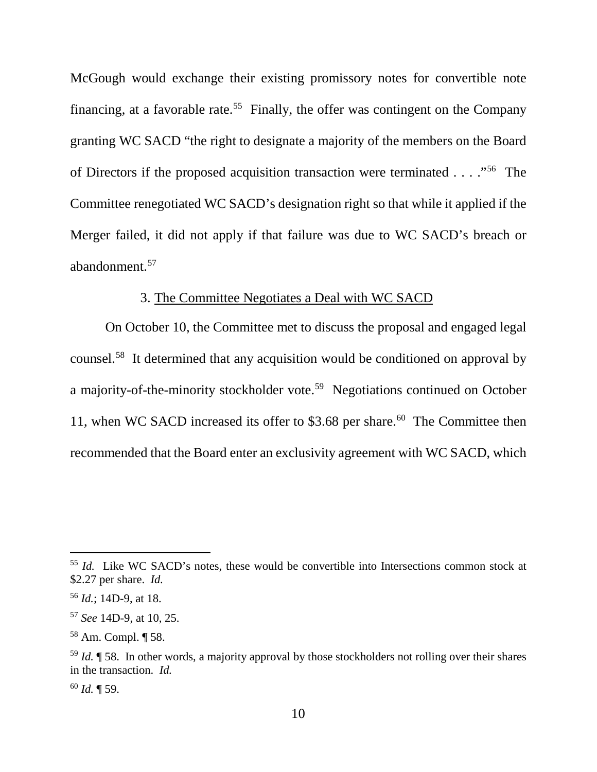McGough would exchange their existing promissory notes for convertible note financing, at a favorable rate.<sup>55</sup> Finally, the offer was contingent on the Company granting WC SACD "the right to designate a majority of the members on the Board of Directors if the proposed acquisition transaction were terminated . . . ."56 The Committee renegotiated WC SACD's designation right so that while it applied if the Merger failed, it did not apply if that failure was due to WC SACD's breach or abandonment. 57

# 3. The Committee Negotiates a Deal with WC SACD

On October 10, the Committee met to discuss the proposal and engaged legal counsel.58 It determined that any acquisition would be conditioned on approval by a majority-of-the-minority stockholder vote.59 Negotiations continued on October 11, when WC SACD increased its offer to \$3.68 per share.<sup>60</sup> The Committee then recommended that the Board enter an exclusivity agreement with WC SACD, which

<sup>&</sup>lt;sup>55</sup> *Id.* Like WC SACD's notes, these would be convertible into Intersections common stock at \$2.27 per share. *Id.*

<sup>56</sup> *Id.*; 14D-9, at 18.

<sup>57</sup> *See* 14D-9, at 10, 25.

<sup>58</sup> Am. Compl. ¶ 58.

<sup>59</sup> *Id.* ¶ 58. In other words, a majority approval by those stockholders not rolling over their shares in the transaction. *Id.*

<sup>60</sup> *Id.* ¶ 59.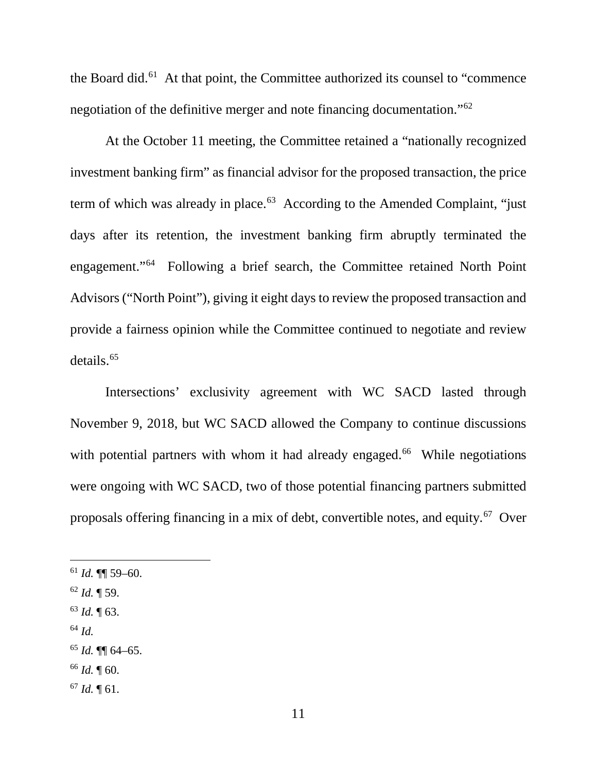the Board did.<sup>61</sup> At that point, the Committee authorized its counsel to "commence" negotiation of the definitive merger and note financing documentation."62

At the October 11 meeting, the Committee retained a "nationally recognized investment banking firm" as financial advisor for the proposed transaction, the price term of which was already in place. 63 According to the Amended Complaint, "just days after its retention, the investment banking firm abruptly terminated the engagement."64 Following a brief search, the Committee retained North Point Advisors ("North Point"), giving it eight days to review the proposed transaction and provide a fairness opinion while the Committee continued to negotiate and review details.65

Intersections' exclusivity agreement with WC SACD lasted through November 9, 2018, but WC SACD allowed the Company to continue discussions with potential partners with whom it had already engaged.<sup>66</sup> While negotiations were ongoing with WC SACD, two of those potential financing partners submitted proposals offering financing in a mix of debt, convertible notes, and equity.<sup>67</sup> Over

<sup>64</sup> *Id.*

<sup>66</sup> *Id.* ¶ 60.

 $61$  *Id.* **¶** 59–60.

<sup>62</sup> *Id.* ¶ 59.

<sup>63</sup> *Id.* ¶ 63.

<sup>65</sup> *Id.* ¶¶ 64–65.

<sup>67</sup> *Id.* ¶ 61.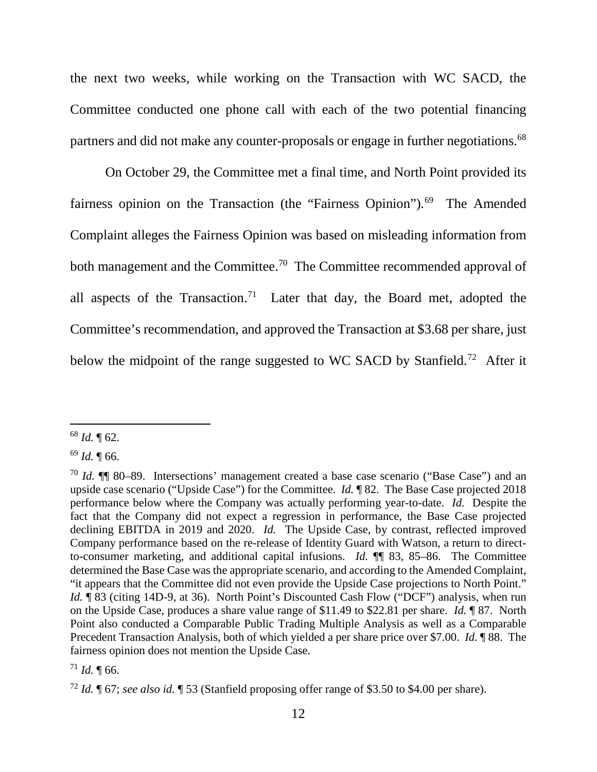the next two weeks, while working on the Transaction with WC SACD, the Committee conducted one phone call with each of the two potential financing partners and did not make any counter-proposals or engage in further negotiations.<sup>68</sup>

On October 29, the Committee met a final time, and North Point provided its fairness opinion on the Transaction (the "Fairness Opinion").<sup>69</sup> The Amended Complaint alleges the Fairness Opinion was based on misleading information from both management and the Committee.<sup>70</sup> The Committee recommended approval of all aspects of the Transaction.<sup>71</sup> Later that day, the Board met, adopted the Committee's recommendation, and approved the Transaction at \$3.68 per share, just below the midpoint of the range suggested to WC SACD by Stanfield.<sup>72</sup> After it

 <sup>68</sup> *Id.* ¶ 62.

 $69$  *Id.* 166.

<sup>70</sup> *Id.* ¶¶ 80–89. Intersections' management created a base case scenario ("Base Case") and an upside case scenario ("Upside Case") for the Committee. *Id.* ¶ 82. The Base Case projected 2018 performance below where the Company was actually performing year-to-date. *Id.* Despite the fact that the Company did not expect a regression in performance, the Base Case projected declining EBITDA in 2019 and 2020. *Id.* The Upside Case, by contrast, reflected improved Company performance based on the re-release of Identity Guard with Watson, a return to directto-consumer marketing, and additional capital infusions. *Id.* ¶¶ 83, 85–86. The Committee determined the Base Case was the appropriate scenario, and according to the Amended Complaint, "it appears that the Committee did not even provide the Upside Case projections to North Point." *Id.* **183** (citing 14D-9, at 36). North Point's Discounted Cash Flow ("DCF") analysis, when run on the Upside Case, produces a share value range of \$11.49 to \$22.81 per share. *Id.* ¶ 87. North Point also conducted a Comparable Public Trading Multiple Analysis as well as a Comparable Precedent Transaction Analysis, both of which yielded a per share price over \$7.00. *Id.* ¶ 88. The fairness opinion does not mention the Upside Case.

 $^{71}$  *Id.* ¶ 66.

<sup>72</sup> *Id.* ¶ 67; *see also id.* ¶ 53 (Stanfield proposing offer range of \$3.50 to \$4.00 per share).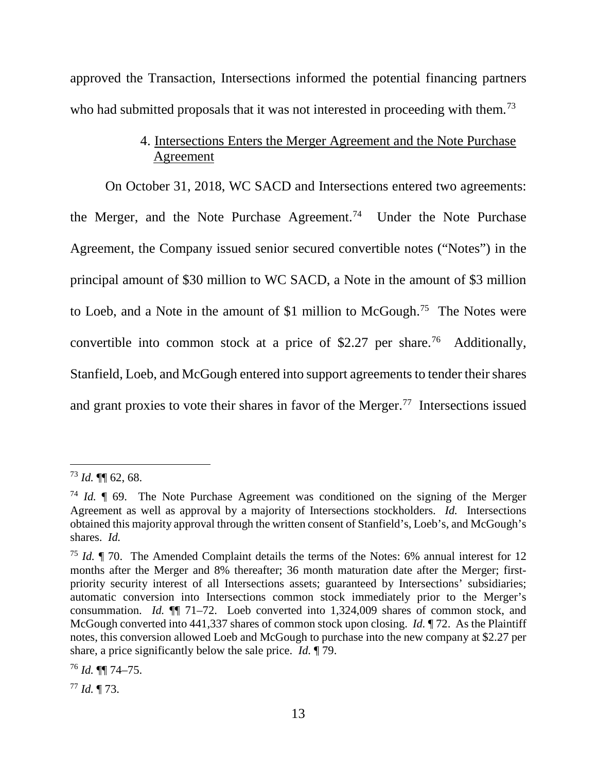approved the Transaction, Intersections informed the potential financing partners who had submitted proposals that it was not interested in proceeding with them.<sup>73</sup>

# 4. Intersections Enters the Merger Agreement and the Note Purchase Agreement

On October 31, 2018, WC SACD and Intersections entered two agreements: the Merger, and the Note Purchase Agreement.<sup>74</sup> Under the Note Purchase Agreement, the Company issued senior secured convertible notes ("Notes") in the principal amount of \$30 million to WC SACD, a Note in the amount of \$3 million to Loeb, and a Note in the amount of \$1 million to McGough.75 The Notes were convertible into common stock at a price of \$2.27 per share.<sup>76</sup> Additionally, Stanfield, Loeb, and McGough entered into support agreements to tender their shares and grant proxies to vote their shares in favor of the Merger.<sup>77</sup> Intersections issued

<sup>77</sup> *Id.* ¶ 73.

 <sup>73</sup> *Id.* ¶¶ 62, 68.

<sup>74</sup> *Id.* ¶ 69. The Note Purchase Agreement was conditioned on the signing of the Merger Agreement as well as approval by a majority of Intersections stockholders. *Id.* Intersections obtained this majority approval through the written consent of Stanfield's, Loeb's, and McGough's shares. *Id.*

<sup>75</sup> *Id.* ¶ 70. The Amended Complaint details the terms of the Notes: 6% annual interest for 12 months after the Merger and 8% thereafter; 36 month maturation date after the Merger; firstpriority security interest of all Intersections assets; guaranteed by Intersections' subsidiaries; automatic conversion into Intersections common stock immediately prior to the Merger's consummation. *Id.* ¶¶ 71–72. Loeb converted into 1,324,009 shares of common stock, and McGough converted into 441,337 shares of common stock upon closing. *Id.* ¶ 72. As the Plaintiff notes, this conversion allowed Loeb and McGough to purchase into the new company at \$2.27 per share, a price significantly below the sale price. *Id.* ¶ 79.

<sup>76</sup> *Id.* ¶¶ 74–75.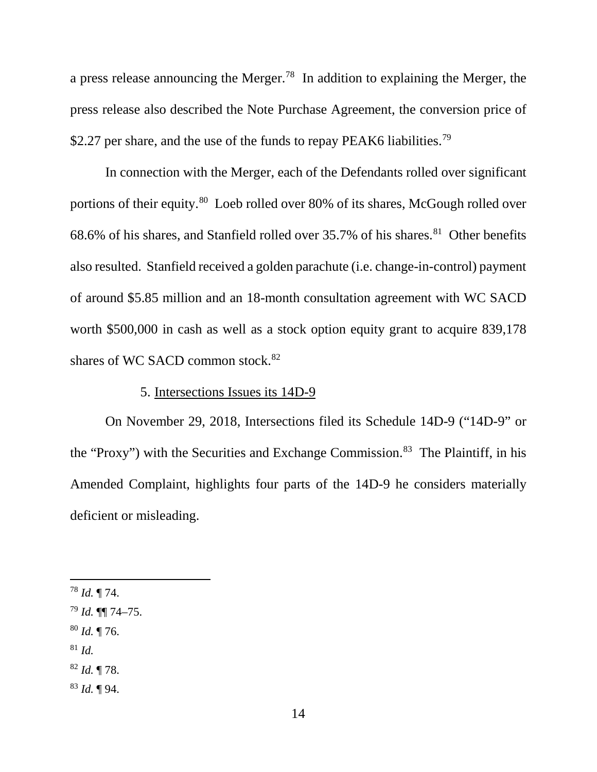a press release announcing the Merger.78 In addition to explaining the Merger, the press release also described the Note Purchase Agreement, the conversion price of \$2.27 per share, and the use of the funds to repay PEAK6 liabilities.<sup>79</sup>

In connection with the Merger, each of the Defendants rolled over significant portions of their equity.<sup>80</sup> Loeb rolled over 80% of its shares, McGough rolled over 68.6% of his shares, and Stanfield rolled over  $35.7\%$  of his shares.<sup>81</sup> Other benefits also resulted. Stanfield received a golden parachute (i.e. change-in-control) payment of around \$5.85 million and an 18-month consultation agreement with WC SACD worth \$500,000 in cash as well as a stock option equity grant to acquire 839,178 shares of WC SACD common stock. $82$ 

### 5. Intersections Issues its 14D-9

On November 29, 2018, Intersections filed its Schedule 14D-9 ("14D-9" or the "Proxy") with the Securities and Exchange Commission.<sup>83</sup> The Plaintiff, in his Amended Complaint, highlights four parts of the 14D-9 he considers materially deficient or misleading.

- <sup>80</sup> *Id.* ¶ 76.
- <sup>81</sup> *Id.*

<sup>83</sup> *Id.* ¶ 94.

 <sup>78</sup> *Id.* ¶ 74.

<sup>79</sup> *Id.* ¶¶ 74–75.

<sup>82</sup> *Id.* ¶ 78.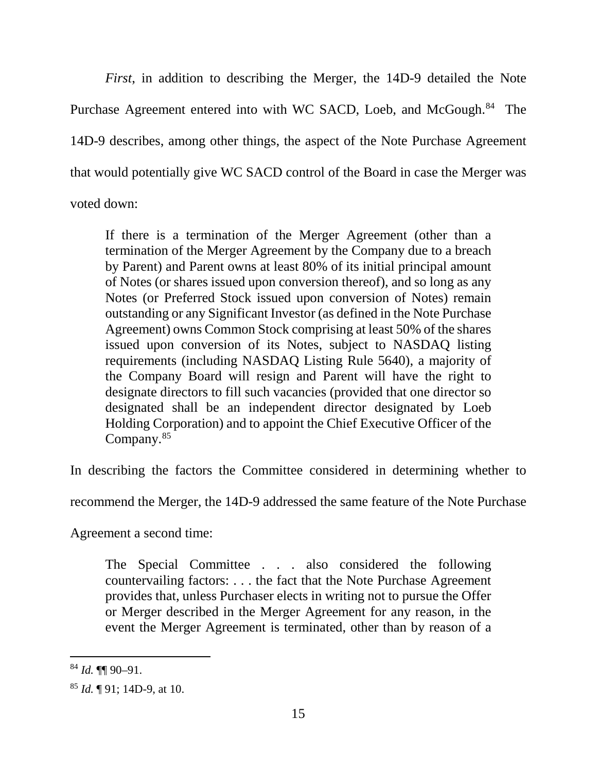*First*, in addition to describing the Merger, the 14D-9 detailed the Note Purchase Agreement entered into with WC SACD, Loeb, and McGough.<sup>84</sup> The 14D-9 describes, among other things, the aspect of the Note Purchase Agreement that would potentially give WC SACD control of the Board in case the Merger was voted down:

If there is a termination of the Merger Agreement (other than a termination of the Merger Agreement by the Company due to a breach by Parent) and Parent owns at least 80% of its initial principal amount of Notes (or shares issued upon conversion thereof), and so long as any Notes (or Preferred Stock issued upon conversion of Notes) remain outstanding or any Significant Investor (as defined in the Note Purchase Agreement) owns Common Stock comprising at least 50% of the shares issued upon conversion of its Notes, subject to NASDAQ listing requirements (including NASDAQ Listing Rule 5640), a majority of the Company Board will resign and Parent will have the right to designate directors to fill such vacancies (provided that one director so designated shall be an independent director designated by Loeb Holding Corporation) and to appoint the Chief Executive Officer of the Company.85

In describing the factors the Committee considered in determining whether to

recommend the Merger, the 14D-9 addressed the same feature of the Note Purchase

Agreement a second time:

The Special Committee . . . also considered the following countervailing factors: . . . the fact that the Note Purchase Agreement provides that, unless Purchaser elects in writing not to pursue the Offer or Merger described in the Merger Agreement for any reason, in the event the Merger Agreement is terminated, other than by reason of a

 <sup>84</sup> *Id.* ¶¶ 90–91.

<sup>85</sup> *Id.* ¶ 91; 14D-9, at 10.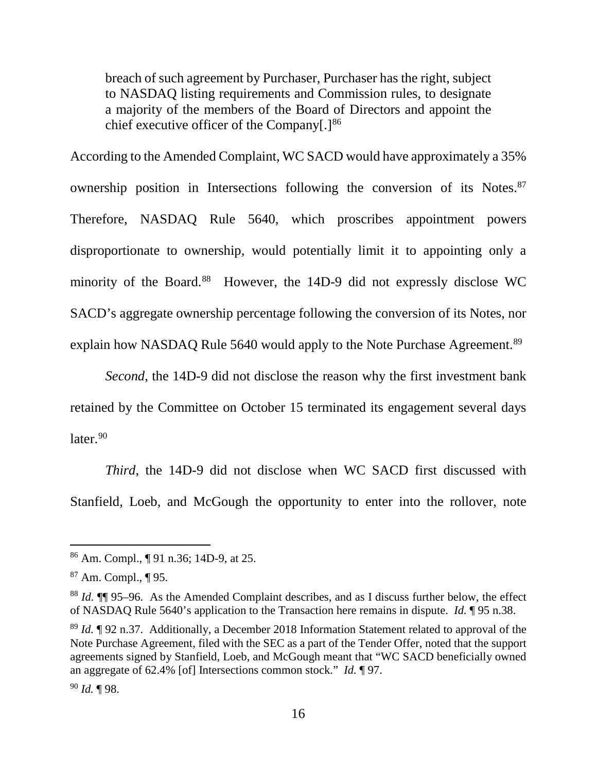breach of such agreement by Purchaser, Purchaser has the right, subject to NASDAQ listing requirements and Commission rules, to designate a majority of the members of the Board of Directors and appoint the chief executive officer of the Company $[.]^{86}$ 

According to the Amended Complaint, WC SACD would have approximately a 35% ownership position in Intersections following the conversion of its Notes. 87 Therefore, NASDAQ Rule 5640, which proscribes appointment powers disproportionate to ownership, would potentially limit it to appointing only a minority of the Board.<sup>88</sup> However, the 14D-9 did not expressly disclose WC SACD's aggregate ownership percentage following the conversion of its Notes, nor explain how NASDAQ Rule 5640 would apply to the Note Purchase Agreement.<sup>89</sup>

*Second*, the 14D-9 did not disclose the reason why the first investment bank retained by the Committee on October 15 terminated its engagement several days  $later.<sup>90</sup>$ 

*Third*, the 14D-9 did not disclose when WC SACD first discussed with Stanfield, Loeb, and McGough the opportunity to enter into the rollover, note

 <sup>86</sup> Am. Compl., ¶ 91 n.36; 14D-9, at 25.

<sup>87</sup> Am. Compl., ¶ 95.

<sup>88</sup> *Id.* ¶¶ 95–96. As the Amended Complaint describes, and as I discuss further below, the effect of NASDAQ Rule 5640's application to the Transaction here remains in dispute. *Id.* ¶ 95 n.38.

<sup>89</sup> *Id.* ¶ 92 n.37. Additionally, a December 2018 Information Statement related to approval of the Note Purchase Agreement, filed with the SEC as a part of the Tender Offer, noted that the support agreements signed by Stanfield, Loeb, and McGough meant that "WC SACD beneficially owned an aggregate of 62.4% [of] Intersections common stock." *Id.* ¶ 97.

<sup>90</sup> *Id.* ¶ 98.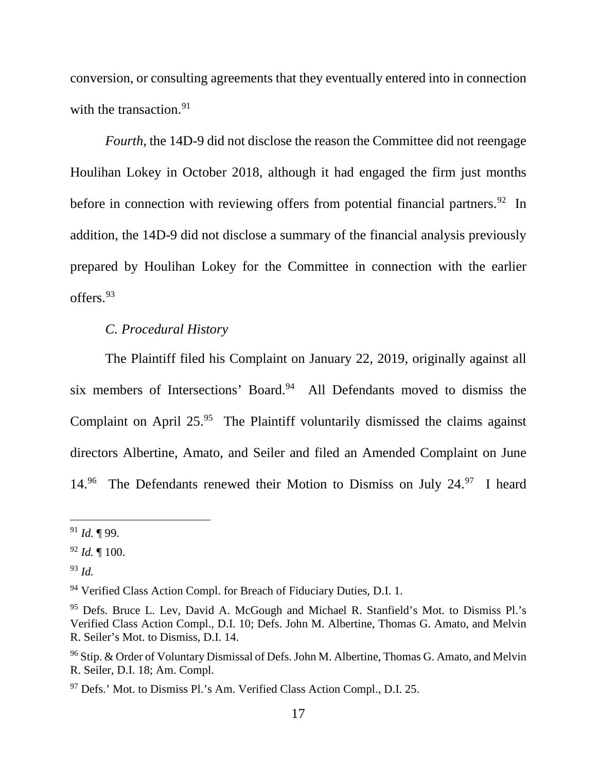conversion, or consulting agreements that they eventually entered into in connection with the transaction.<sup>91</sup>

*Fourth*, the 14D-9 did not disclose the reason the Committee did not reengage Houlihan Lokey in October 2018, although it had engaged the firm just months before in connection with reviewing offers from potential financial partners.<sup>92</sup> In addition, the 14D-9 did not disclose a summary of the financial analysis previously prepared by Houlihan Lokey for the Committee in connection with the earlier offers.93

### *C. Procedural History*

The Plaintiff filed his Complaint on January 22, 2019, originally against all six members of Intersections' Board. 94 All Defendants moved to dismiss the Complaint on April 25.<sup>95</sup> The Plaintiff voluntarily dismissed the claims against directors Albertine, Amato, and Seiler and filed an Amended Complaint on June 14.<sup>96</sup> The Defendants renewed their Motion to Dismiss on July 24.<sup>97</sup> I heard

 <sup>91</sup> *Id.* ¶ 99.

<sup>92</sup> *Id.* ¶ 100.

<sup>93</sup> *Id.*

<sup>&</sup>lt;sup>94</sup> Verified Class Action Compl. for Breach of Fiduciary Duties, D.I. 1.

<sup>95</sup> Defs. Bruce L. Lev, David A. McGough and Michael R. Stanfield's Mot. to Dismiss Pl.'s Verified Class Action Compl., D.I. 10; Defs. John M. Albertine, Thomas G. Amato, and Melvin R. Seiler's Mot. to Dismiss, D.I. 14.

 $96$  Stip. & Order of Voluntary Dismissal of Defs. John M. Albertine, Thomas G. Amato, and Melvin R. Seiler, D.I. 18; Am. Compl.

<sup>97</sup> Defs.' Mot. to Dismiss Pl.'s Am. Verified Class Action Compl., D.I. 25.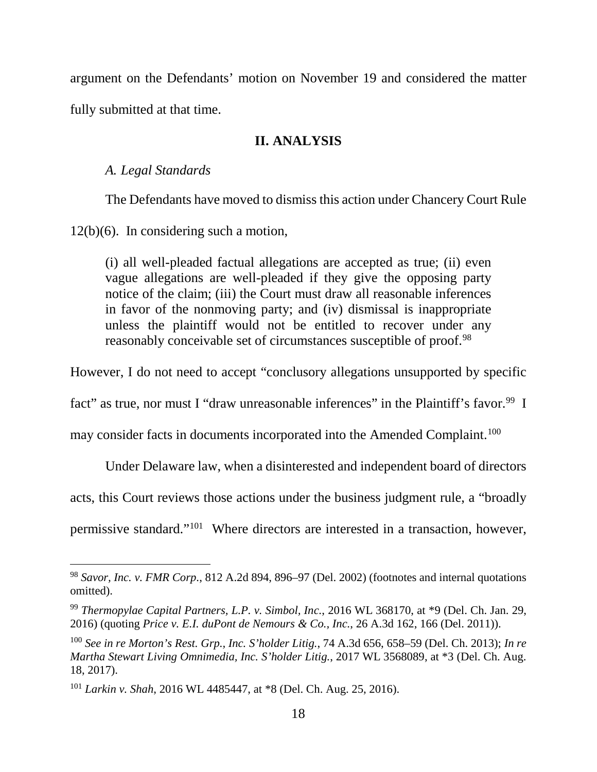argument on the Defendants' motion on November 19 and considered the matter fully submitted at that time.

### **II. ANALYSIS**

#### *A. Legal Standards*

The Defendants have moved to dismiss this action under Chancery Court Rule

12(b)(6). In considering such a motion,

(i) all well-pleaded factual allegations are accepted as true; (ii) even vague allegations are well-pleaded if they give the opposing party notice of the claim; (iii) the Court must draw all reasonable inferences in favor of the nonmoving party; and (iv) dismissal is inappropriate unless the plaintiff would not be entitled to recover under any reasonably conceivable set of circumstances susceptible of proof.<sup>98</sup>

However, I do not need to accept "conclusory allegations unsupported by specific

fact" as true, nor must I "draw unreasonable inferences" in the Plaintiff's favor.<sup>99</sup> I

may consider facts in documents incorporated into the Amended Complaint.<sup>100</sup>

Under Delaware law, when a disinterested and independent board of directors

acts, this Court reviews those actions under the business judgment rule, a "broadly

permissive standard."101 Where directors are interested in a transaction, however,

 <sup>98</sup> *Savor, Inc. v. FMR Corp.*, 812 A.2d 894, 896–97 (Del. 2002) (footnotes and internal quotations omitted).

<sup>99</sup> *Thermopylae Capital Partners, L.P. v. Simbol, Inc.*, 2016 WL 368170, at \*9 (Del. Ch. Jan. 29, 2016) (quoting *Price v. E.I. duPont de Nemours & Co., Inc.*, 26 A.3d 162, 166 (Del. 2011)).

<sup>100</sup> *See in re Morton's Rest. Grp., Inc. S'holder Litig.*, 74 A.3d 656, 658–59 (Del. Ch. 2013); *In re Martha Stewart Living Omnimedia, Inc. S'holder Litig.*, 2017 WL 3568089, at \*3 (Del. Ch. Aug. 18, 2017).

<sup>101</sup> *Larkin v. Shah*, 2016 WL 4485447, at \*8 (Del. Ch. Aug. 25, 2016).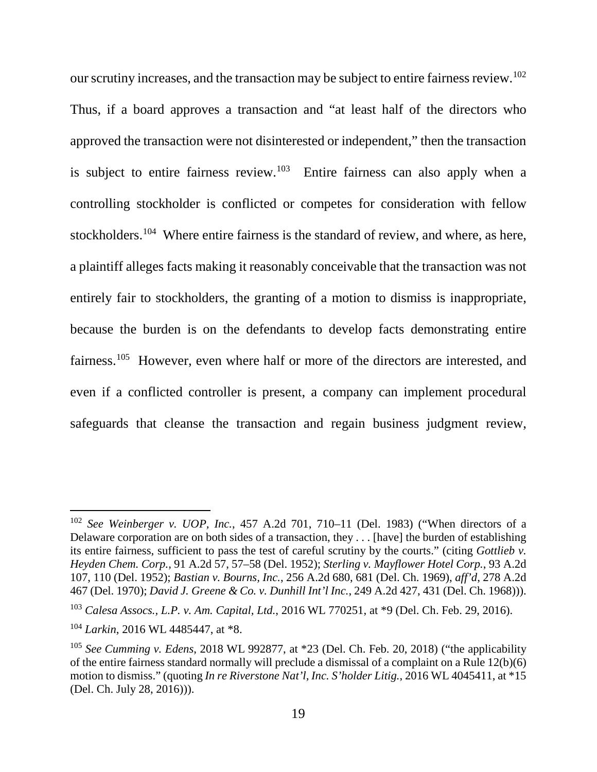our scrutiny increases, and the transaction may be subject to entire fairness review.<sup>102</sup>

Thus, if a board approves a transaction and "at least half of the directors who approved the transaction were not disinterested or independent," then the transaction is subject to entire fairness review.<sup>103</sup> Entire fairness can also apply when a controlling stockholder is conflicted or competes for consideration with fellow stockholders.<sup>104</sup> Where entire fairness is the standard of review, and where, as here, a plaintiff alleges facts making it reasonably conceivable that the transaction was not entirely fair to stockholders, the granting of a motion to dismiss is inappropriate, because the burden is on the defendants to develop facts demonstrating entire fairness.<sup>105</sup> However, even where half or more of the directors are interested, and even if a conflicted controller is present, a company can implement procedural safeguards that cleanse the transaction and regain business judgment review,

 <sup>102</sup> *See Weinberger v. UOP, Inc.*, 457 A.2d 701, 710–11 (Del. 1983) ("When directors of a Delaware corporation are on both sides of a transaction, they . . . [have] the burden of establishing its entire fairness, sufficient to pass the test of careful scrutiny by the courts." (citing *Gottlieb v. Heyden Chem. Corp.*, 91 A.2d 57, 57–58 (Del. 1952); *Sterling v. Mayflower Hotel Corp.*, 93 A.2d 107, 110 (Del. 1952); *Bastian v. Bourns, Inc.*, 256 A.2d 680, 681 (Del. Ch. 1969), *aff'd*, 278 A.2d 467 (Del. 1970); *David J. Greene & Co. v. Dunhill Int'l Inc.*, 249 A.2d 427, 431 (Del. Ch. 1968))).

<sup>103</sup> *Calesa Assocs., L.P. v. Am. Capital, Ltd.*, 2016 WL 770251, at \*9 (Del. Ch. Feb. 29, 2016).

<sup>104</sup> *Larkin*, 2016 WL 4485447, at \*8.

<sup>105</sup> *See Cumming v. Edens*, 2018 WL 992877, at \*23 (Del. Ch. Feb. 20, 2018) ("the applicability of the entire fairness standard normally will preclude a dismissal of a complaint on a Rule 12(b)(6) motion to dismiss." (quoting *In re Riverstone Nat'l, Inc. S'holder Litig.*, 2016 WL 4045411, at \*15 (Del. Ch. July 28, 2016))).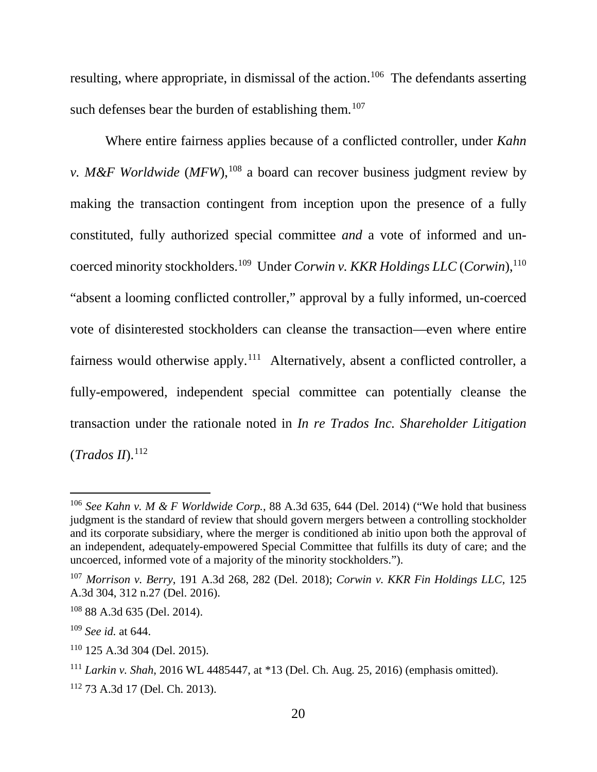resulting, where appropriate, in dismissal of the action.<sup>106</sup> The defendants asserting such defenses bear the burden of establishing them.<sup>107</sup>

Where entire fairness applies because of a conflicted controller, under *Kahn v. M&F Worldwide* (*MFW*),<sup>108</sup> a board can recover business judgment review by making the transaction contingent from inception upon the presence of a fully constituted, fully authorized special committee *and* a vote of informed and uncoerced minority stockholders. 109 Under *Corwin v. KKR Holdings LLC* (*Corwin*), 110 "absent a looming conflicted controller," approval by a fully informed, un-coerced vote of disinterested stockholders can cleanse the transaction—even where entire fairness would otherwise apply.<sup>111</sup> Alternatively, absent a conflicted controller, a fully-empowered, independent special committee can potentially cleanse the transaction under the rationale noted in *In re Trados Inc. Shareholder Litigation* (*Trados II*). 112

 <sup>106</sup> *See Kahn v. M & F Worldwide Corp.*, 88 A.3d 635, 644 (Del. 2014) ("We hold that business judgment is the standard of review that should govern mergers between a controlling stockholder and its corporate subsidiary, where the merger is conditioned ab initio upon both the approval of an independent, adequately-empowered Special Committee that fulfills its duty of care; and the uncoerced, informed vote of a majority of the minority stockholders.").

<sup>107</sup> *Morrison v. Berry*, 191 A.3d 268, 282 (Del. 2018); *Corwin v. KKR Fin Holdings LLC*, 125 A.3d 304, 312 n.27 (Del. 2016).

<sup>108</sup> 88 A.3d 635 (Del. 2014).

<sup>109</sup> *See id.* at 644.

<sup>110</sup> 125 A.3d 304 (Del. 2015).

<sup>111</sup> *Larkin v. Shah*, 2016 WL 4485447, at \*13 (Del. Ch. Aug. 25, 2016) (emphasis omitted).

<sup>112</sup> 73 A.3d 17 (Del. Ch. 2013).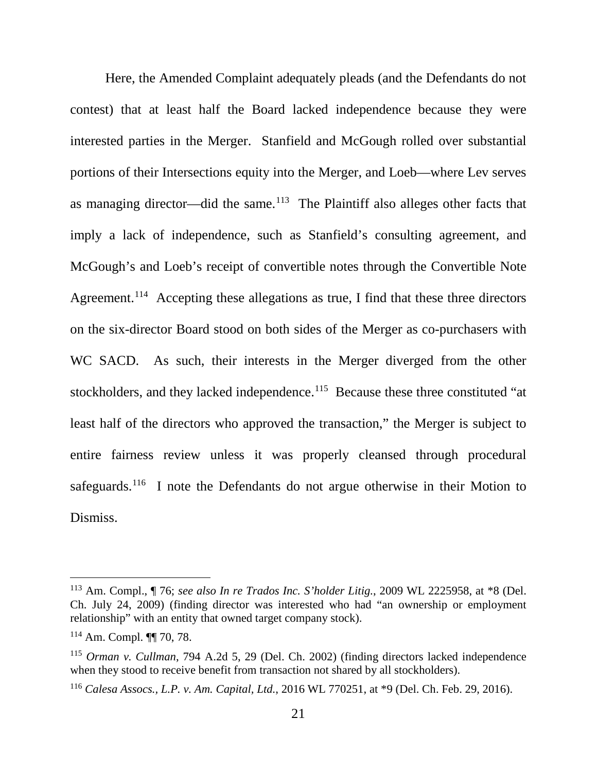Here, the Amended Complaint adequately pleads (and the Defendants do not contest) that at least half the Board lacked independence because they were interested parties in the Merger. Stanfield and McGough rolled over substantial portions of their Intersections equity into the Merger, and Loeb—where Lev serves as managing director—did the same.<sup>113</sup> The Plaintiff also alleges other facts that imply a lack of independence, such as Stanfield's consulting agreement, and McGough's and Loeb's receipt of convertible notes through the Convertible Note Agreement.<sup>114</sup> Accepting these allegations as true, I find that these three directors on the six-director Board stood on both sides of the Merger as co-purchasers with WC SACD. As such, their interests in the Merger diverged from the other stockholders, and they lacked independence.<sup>115</sup> Because these three constituted "at least half of the directors who approved the transaction," the Merger is subject to entire fairness review unless it was properly cleansed through procedural safeguards.<sup>116</sup> I note the Defendants do not argue otherwise in their Motion to Dismiss.

 <sup>113</sup> Am. Compl., ¶ 76; *see also In re Trados Inc. S'holder Litig.*, 2009 WL 2225958, at \*8 (Del. Ch. July 24, 2009) (finding director was interested who had "an ownership or employment relationship" with an entity that owned target company stock).

 $114$  Am. Compl.  $\P\P$  70, 78.

<sup>115</sup> *Orman v. Cullman*, 794 A.2d 5, 29 (Del. Ch. 2002) (finding directors lacked independence when they stood to receive benefit from transaction not shared by all stockholders).

<sup>116</sup> *Calesa Assocs., L.P. v. Am. Capital, Ltd.*, 2016 WL 770251, at \*9 (Del. Ch. Feb. 29, 2016).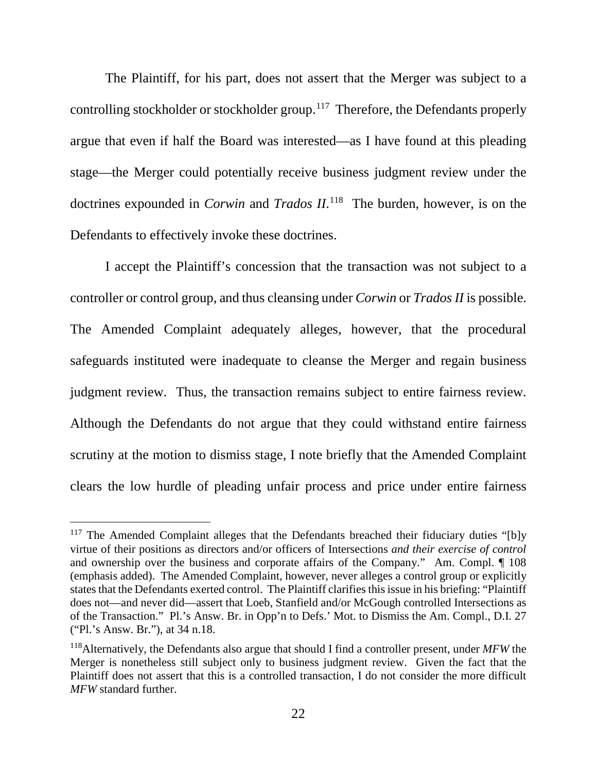The Plaintiff, for his part, does not assert that the Merger was subject to a controlling stockholder or stockholder group.117 Therefore, the Defendants properly argue that even if half the Board was interested—as I have found at this pleading stage—the Merger could potentially receive business judgment review under the doctrines expounded in *Corwin* and *Trados II*. 118 The burden, however, is on the Defendants to effectively invoke these doctrines.

I accept the Plaintiff's concession that the transaction was not subject to a controller or control group, and thus cleansing under *Corwin* or *Trados II* is possible. The Amended Complaint adequately alleges, however, that the procedural safeguards instituted were inadequate to cleanse the Merger and regain business judgment review. Thus, the transaction remains subject to entire fairness review. Although the Defendants do not argue that they could withstand entire fairness scrutiny at the motion to dismiss stage, I note briefly that the Amended Complaint clears the low hurdle of pleading unfair process and price under entire fairness

<sup>&</sup>lt;sup>117</sup> The Amended Complaint alleges that the Defendants breached their fiduciary duties "[b]y virtue of their positions as directors and/or officers of Intersections *and their exercise of control* and ownership over the business and corporate affairs of the Company." Am. Compl. ¶ 108 (emphasis added). The Amended Complaint, however, never alleges a control group or explicitly states that the Defendants exerted control. The Plaintiff clarifies this issue in his briefing: "Plaintiff does not—and never did—assert that Loeb, Stanfield and/or McGough controlled Intersections as of the Transaction." Pl.'s Answ. Br. in Opp'n to Defs.' Mot. to Dismiss the Am. Compl., D.I. 27 ("Pl.'s Answ. Br."), at 34 n.18.

<sup>118</sup>Alternatively, the Defendants also argue that should I find a controller present, under *MFW* the Merger is nonetheless still subject only to business judgment review. Given the fact that the Plaintiff does not assert that this is a controlled transaction, I do not consider the more difficult *MFW* standard further.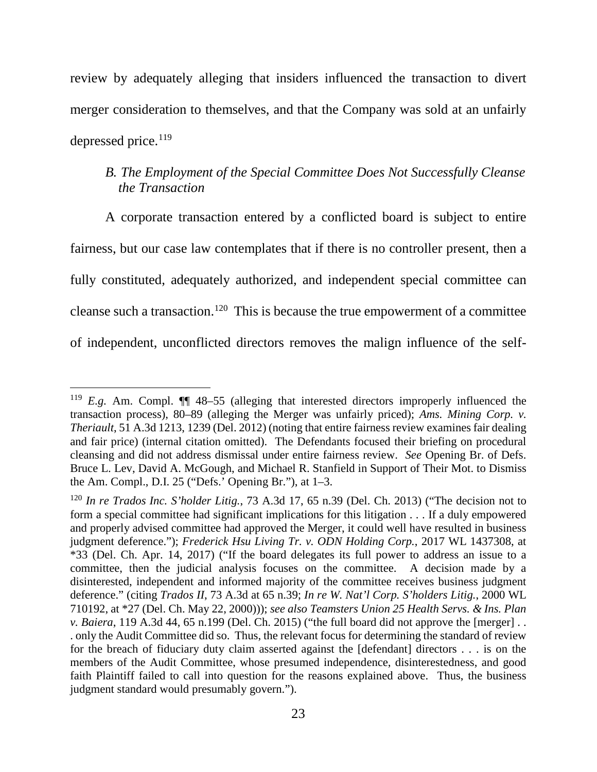review by adequately alleging that insiders influenced the transaction to divert merger consideration to themselves, and that the Company was sold at an unfairly depressed price. 119

# *B. The Employment of the Special Committee Does Not Successfully Cleanse the Transaction*

A corporate transaction entered by a conflicted board is subject to entire fairness, but our case law contemplates that if there is no controller present, then a fully constituted, adequately authorized, and independent special committee can cleanse such a transaction.120 This is because the true empowerment of a committee of independent, unconflicted directors removes the malign influence of the self-

<sup>&</sup>lt;sup>119</sup> *E.g.* Am. Compl.  $\P$  48–55 (alleging that interested directors improperly influenced the transaction process), 80–89 (alleging the Merger was unfairly priced); *Ams. Mining Corp. v. Theriault*, 51 A.3d 1213, 1239 (Del. 2012) (noting that entire fairness review examines fair dealing and fair price) (internal citation omitted). The Defendants focused their briefing on procedural cleansing and did not address dismissal under entire fairness review. *See* Opening Br. of Defs. Bruce L. Lev, David A. McGough, and Michael R. Stanfield in Support of Their Mot. to Dismiss the Am. Compl., D.I. 25 ("Defs.' Opening Br."), at 1–3.

<sup>120</sup> *In re Trados Inc. S'holder Litig.*, 73 A.3d 17, 65 n.39 (Del. Ch. 2013) ("The decision not to form a special committee had significant implications for this litigation . . . If a duly empowered and properly advised committee had approved the Merger, it could well have resulted in business judgment deference."); *Frederick Hsu Living Tr. v. ODN Holding Corp.*, 2017 WL 1437308, at \*33 (Del. Ch. Apr. 14, 2017) ("If the board delegates its full power to address an issue to a committee, then the judicial analysis focuses on the committee. A decision made by a disinterested, independent and informed majority of the committee receives business judgment deference." (citing *Trados II*, 73 A.3d at 65 n.39; *In re W. Nat'l Corp. S'holders Litig.*, 2000 WL 710192, at \*27 (Del. Ch. May 22, 2000))); *see also Teamsters Union 25 Health Servs. & Ins. Plan v. Baiera*, 119 A.3d 44, 65 n.199 (Del. Ch. 2015) ("the full board did not approve the [merger] . . . only the Audit Committee did so. Thus, the relevant focus for determining the standard of review for the breach of fiduciary duty claim asserted against the [defendant] directors . . . is on the members of the Audit Committee, whose presumed independence, disinterestedness, and good faith Plaintiff failed to call into question for the reasons explained above. Thus, the business judgment standard would presumably govern.").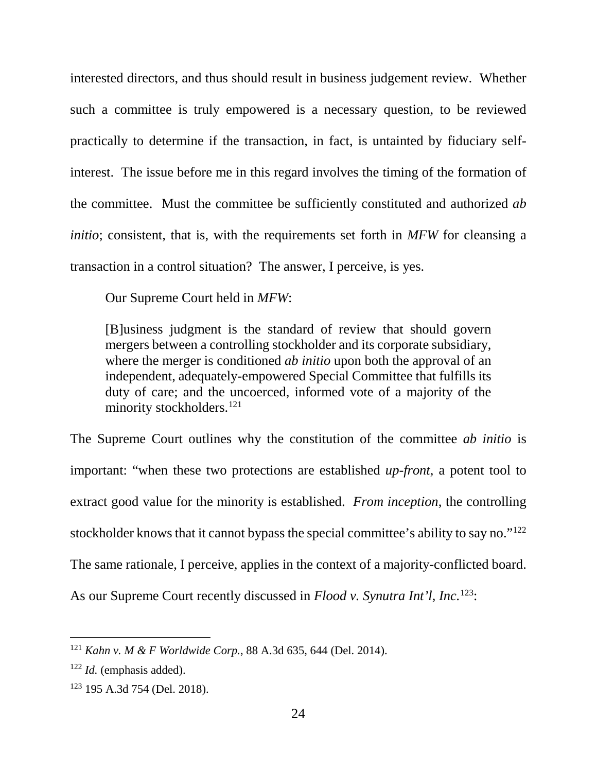interested directors, and thus should result in business judgement review. Whether such a committee is truly empowered is a necessary question, to be reviewed practically to determine if the transaction, in fact, is untainted by fiduciary selfinterest. The issue before me in this regard involves the timing of the formation of the committee. Must the committee be sufficiently constituted and authorized *ab initio*; consistent, that is, with the requirements set forth in *MFW* for cleansing a transaction in a control situation? The answer, I perceive, is yes.

Our Supreme Court held in *MFW*:

[B]usiness judgment is the standard of review that should govern mergers between a controlling stockholder and its corporate subsidiary, where the merger is conditioned *ab initio* upon both the approval of an independent, adequately-empowered Special Committee that fulfills its duty of care; and the uncoerced, informed vote of a majority of the minority stockholders.<sup>121</sup>

The Supreme Court outlines why the constitution of the committee *ab initio* is important: "when these two protections are established *up-front*, a potent tool to extract good value for the minority is established. *From inception*, the controlling stockholder knows that it cannot bypass the special committee's ability to say no."122 The same rationale, I perceive, applies in the context of a majority-conflicted board. As our Supreme Court recently discussed in *Flood v. Synutra Int'l, Inc.*123:

 <sup>121</sup> *Kahn v. M & F Worldwide Corp.*, 88 A.3d 635, 644 (Del. 2014).

<sup>122</sup> *Id.* (emphasis added).

<sup>123</sup> 195 A.3d 754 (Del. 2018).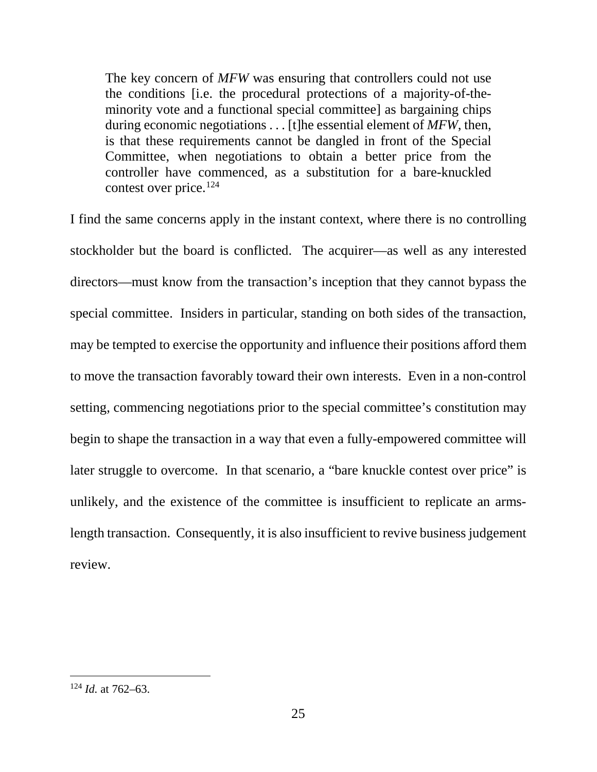The key concern of *MFW* was ensuring that controllers could not use the conditions [i.e. the procedural protections of a majority-of-theminority vote and a functional special committee] as bargaining chips during economic negotiations . . . [t]he essential element of *MFW*, then, is that these requirements cannot be dangled in front of the Special Committee, when negotiations to obtain a better price from the controller have commenced, as a substitution for a bare-knuckled contest over price.124

I find the same concerns apply in the instant context, where there is no controlling stockholder but the board is conflicted. The acquirer—as well as any interested directors—must know from the transaction's inception that they cannot bypass the special committee. Insiders in particular, standing on both sides of the transaction, may be tempted to exercise the opportunity and influence their positions afford them to move the transaction favorably toward their own interests. Even in a non-control setting, commencing negotiations prior to the special committee's constitution may begin to shape the transaction in a way that even a fully-empowered committee will later struggle to overcome. In that scenario, a "bare knuckle contest over price" is unlikely, and the existence of the committee is insufficient to replicate an armslength transaction. Consequently, it is also insufficient to revive business judgement review.

 <sup>124</sup> *Id.* at 762–63.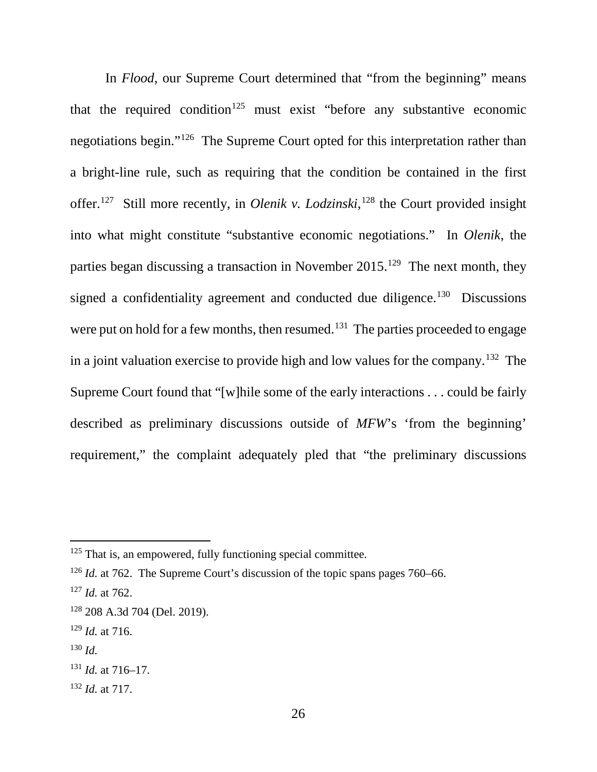In *Flood*, our Supreme Court determined that "from the beginning" means that the required condition<sup>125</sup> must exist "before any substantive economic negotiations begin."126 The Supreme Court opted for this interpretation rather than a bright-line rule, such as requiring that the condition be contained in the first offer.127 Still more recently, in *Olenik v. Lodzinski*, <sup>128</sup> the Court provided insight into what might constitute "substantive economic negotiations." In *Olenik*, the parties began discussing a transaction in November 2015.<sup>129</sup> The next month, they signed a confidentiality agreement and conducted due diligence.<sup>130</sup> Discussions were put on hold for a few months, then resumed.<sup>131</sup> The parties proceeded to engage in a joint valuation exercise to provide high and low values for the company.<sup>132</sup> The Supreme Court found that "[w]hile some of the early interactions . . . could be fairly described as preliminary discussions outside of *MFW*'s 'from the beginning' requirement," the complaint adequately pled that "the preliminary discussions

- <sup>129</sup> *Id.* at 716.
- <sup>130</sup> *Id.*

<sup>132</sup> *Id.* at 717.

 $125$  That is, an empowered, fully functioning special committee.

<sup>&</sup>lt;sup>126</sup> *Id.* at 762. The Supreme Court's discussion of the topic spans pages 760–66.

<sup>127</sup> *Id.* at 762.

<sup>128</sup> 208 A.3d 704 (Del. 2019).

<sup>131</sup> *Id.* at 716–17.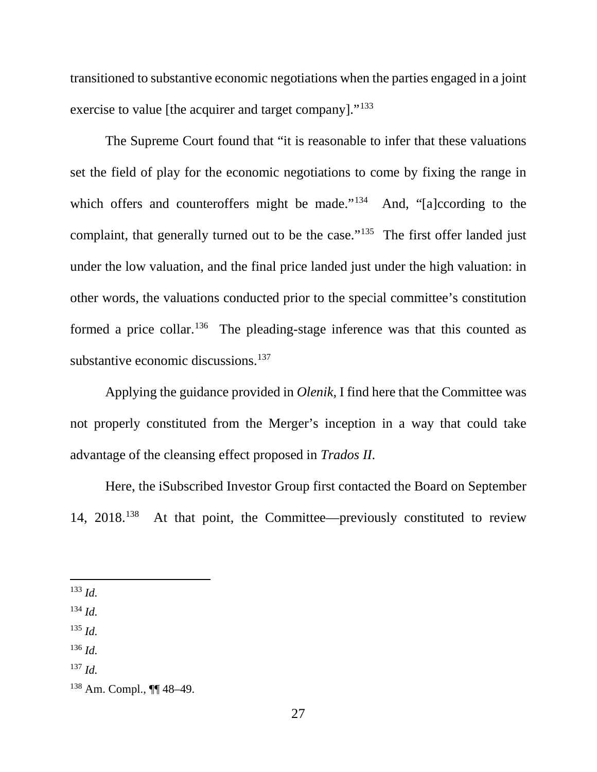transitioned to substantive economic negotiations when the parties engaged in a joint exercise to value [the acquirer and target company]."<sup>133</sup>

The Supreme Court found that "it is reasonable to infer that these valuations set the field of play for the economic negotiations to come by fixing the range in which offers and counteroffers might be made."<sup>134</sup> And, "[a]ccording to the complaint, that generally turned out to be the case."<sup>135</sup> The first offer landed just under the low valuation, and the final price landed just under the high valuation: in other words, the valuations conducted prior to the special committee's constitution formed a price collar.<sup>136</sup> The pleading-stage inference was that this counted as substantive economic discussions. $137$ 

Applying the guidance provided in *Olenik,* I find here that the Committee was not properly constituted from the Merger's inception in a way that could take advantage of the cleansing effect proposed in *Trados II*.

Here, the iSubscribed Investor Group first contacted the Board on September 14, 2018. 138 At that point, the Committee—previously constituted to review

133 *Id.*

<sup>134</sup> *Id.*

<sup>135</sup> *Id.*

- <sup>136</sup> *Id.*
- <sup>137</sup> *Id.*

<sup>138</sup> Am. Compl., ¶¶ 48–49.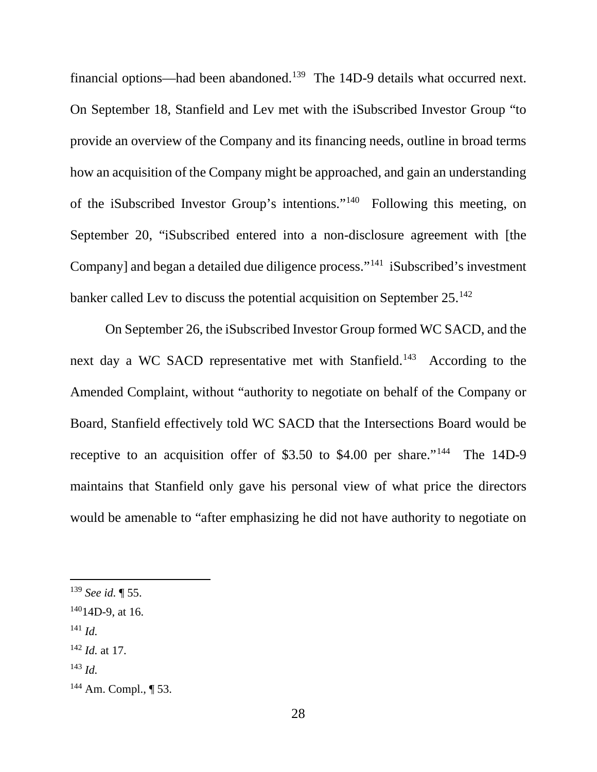financial options—had been abandoned.<sup>139</sup> The 14D-9 details what occurred next. On September 18, Stanfield and Lev met with the iSubscribed Investor Group "to provide an overview of the Company and its financing needs, outline in broad terms how an acquisition of the Company might be approached, and gain an understanding of the iSubscribed Investor Group's intentions."140 Following this meeting, on September 20, "iSubscribed entered into a non-disclosure agreement with [the Company] and began a detailed due diligence process."141 iSubscribed's investment banker called Lev to discuss the potential acquisition on September 25.<sup>142</sup>

On September 26, the iSubscribed Investor Group formed WC SACD, and the next day a WC SACD representative met with Stanfield.<sup>143</sup> According to the Amended Complaint, without "authority to negotiate on behalf of the Company or Board, Stanfield effectively told WC SACD that the Intersections Board would be receptive to an acquisition offer of \$3.50 to \$4.00 per share."<sup>144</sup> The 14D-9 maintains that Stanfield only gave his personal view of what price the directors would be amenable to "after emphasizing he did not have authority to negotiate on

<sup>141</sup> *Id.*

 <sup>139</sup> *See id.* ¶ 55.

 $14014D-9$ , at 16.

<sup>142</sup> *Id.* at 17.

<sup>143</sup> *Id.*

<sup>144</sup> Am. Compl., ¶ 53.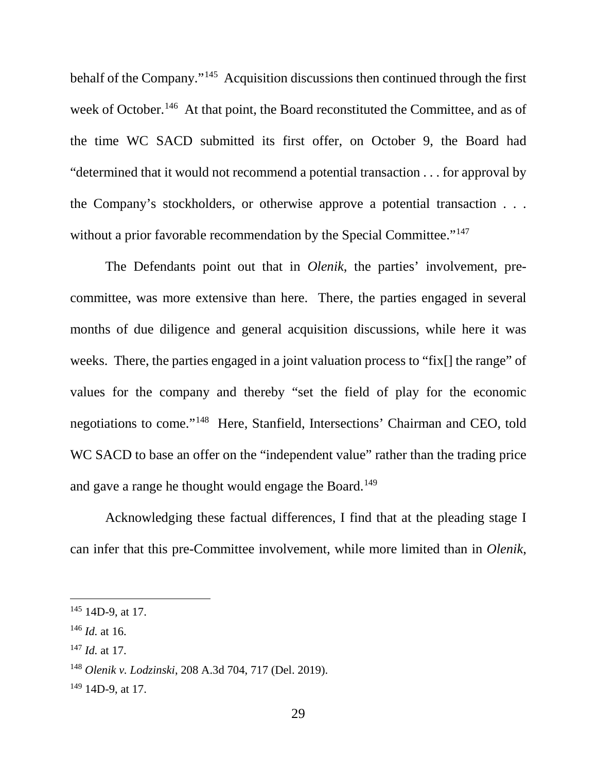behalf of the Company."145 Acquisition discussions then continued through the first week of October.<sup>146</sup> At that point, the Board reconstituted the Committee, and as of the time WC SACD submitted its first offer, on October 9, the Board had "determined that it would not recommend a potential transaction . . . for approval by the Company's stockholders, or otherwise approve a potential transaction . . . without a prior favorable recommendation by the Special Committee."<sup>147</sup>

The Defendants point out that in *Olenik*, the parties' involvement, precommittee, was more extensive than here. There, the parties engaged in several months of due diligence and general acquisition discussions, while here it was weeks. There, the parties engaged in a joint valuation process to "fix[] the range" of values for the company and thereby "set the field of play for the economic negotiations to come."148 Here, Stanfield, Intersections' Chairman and CEO, told WC SACD to base an offer on the "independent value" rather than the trading price and gave a range he thought would engage the Board.<sup>149</sup>

Acknowledging these factual differences, I find that at the pleading stage I can infer that this pre-Committee involvement, while more limited than in *Olenik*,

 $145$  14D-9, at 17.

<sup>146</sup> *Id.* at 16.

<sup>147</sup> *Id.* at 17.

<sup>148</sup> *Olenik v. Lodzinski*, 208 A.3d 704, 717 (Del. 2019).

 $149$  14D-9, at 17.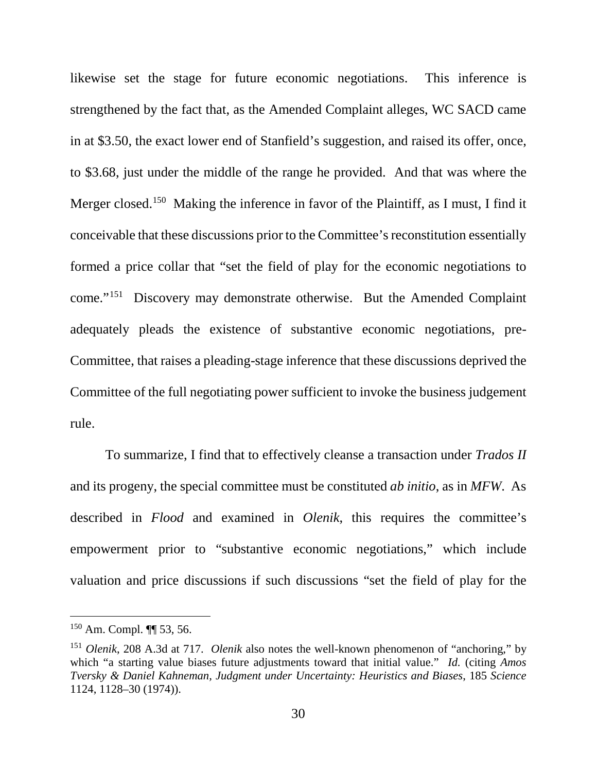likewise set the stage for future economic negotiations. This inference is strengthened by the fact that, as the Amended Complaint alleges, WC SACD came in at \$3.50, the exact lower end of Stanfield's suggestion, and raised its offer, once, to \$3.68, just under the middle of the range he provided. And that was where the Merger closed.<sup>150</sup> Making the inference in favor of the Plaintiff, as I must, I find it conceivable that these discussions prior to the Committee's reconstitution essentially formed a price collar that "set the field of play for the economic negotiations to come."151 Discovery may demonstrate otherwise. But the Amended Complaint adequately pleads the existence of substantive economic negotiations, pre-Committee, that raises a pleading-stage inference that these discussions deprived the Committee of the full negotiating power sufficient to invoke the business judgement rule.

To summarize, I find that to effectively cleanse a transaction under *Trados II* and its progeny, the special committee must be constituted *ab initio*, as in *MFW*. As described in *Flood* and examined in *Olenik*, this requires the committee's empowerment prior to "substantive economic negotiations," which include valuation and price discussions if such discussions "set the field of play for the

 <sup>150</sup> Am. Compl. ¶¶ 53, 56.

<sup>151</sup> *Olenik*, 208 A.3d at 717. *Olenik* also notes the well-known phenomenon of "anchoring," by which "a starting value biases future adjustments toward that initial value." *Id.* (citing *Amos Tversky & Daniel Kahneman, Judgment under Uncertainty: Heuristics and Biases*, 185 *Science* 1124, 1128–30 (1974)).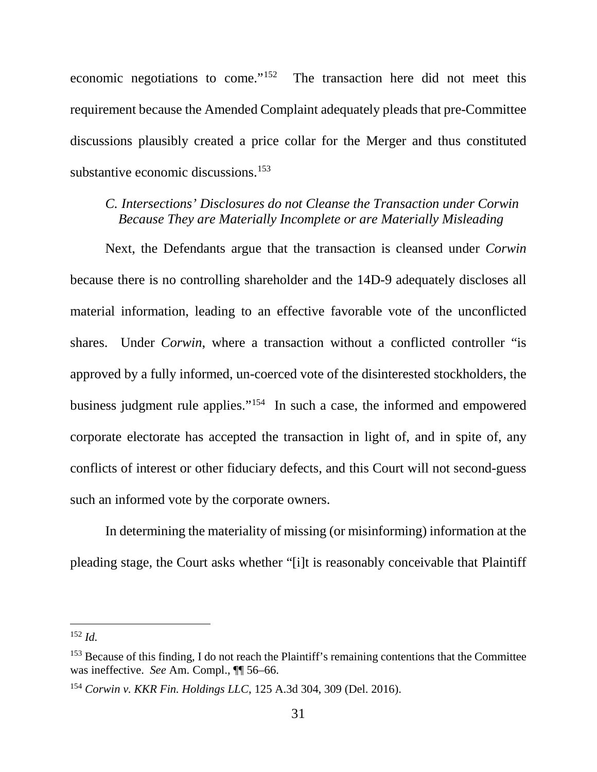economic negotiations to come."152 The transaction here did not meet this requirement because the Amended Complaint adequately pleads that pre-Committee discussions plausibly created a price collar for the Merger and thus constituted substantive economic discussions. 153

## *C. Intersections' Disclosures do not Cleanse the Transaction under Corwin Because They are Materially Incomplete or are Materially Misleading*

Next, the Defendants argue that the transaction is cleansed under *Corwin* because there is no controlling shareholder and the 14D-9 adequately discloses all material information, leading to an effective favorable vote of the unconflicted shares. Under *Corwin*, where a transaction without a conflicted controller "is approved by a fully informed, un-coerced vote of the disinterested stockholders, the business judgment rule applies."154 In such a case, the informed and empowered corporate electorate has accepted the transaction in light of, and in spite of, any conflicts of interest or other fiduciary defects, and this Court will not second-guess such an informed vote by the corporate owners.

In determining the materiality of missing (or misinforming) information at the pleading stage, the Court asks whether "[i]t is reasonably conceivable that Plaintiff

 <sup>152</sup> *Id.*

<sup>&</sup>lt;sup>153</sup> Because of this finding, I do not reach the Plaintiff's remaining contentions that the Committee was ineffective. *See* Am. Compl., ¶¶ 56–66.

<sup>154</sup> *Corwin v. KKR Fin. Holdings LLC*, 125 A.3d 304, 309 (Del. 2016).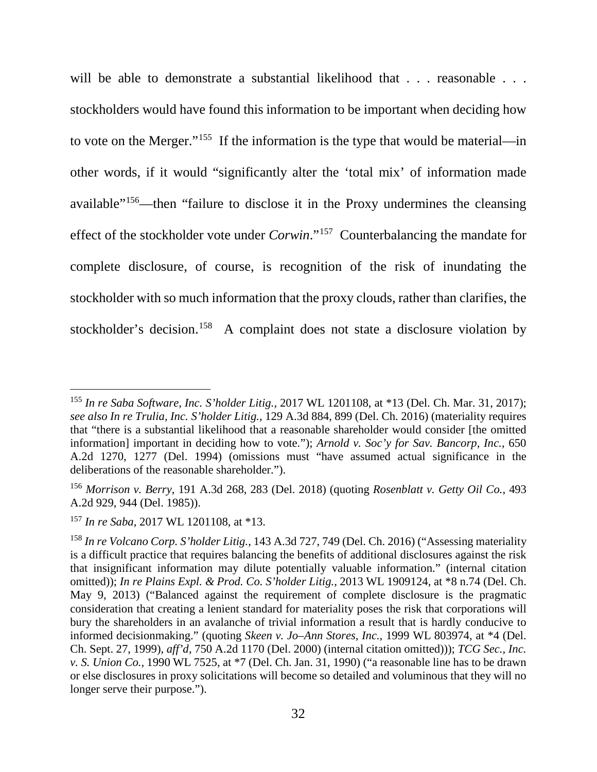will be able to demonstrate a substantial likelihood that . . . reasonable . . . stockholders would have found this information to be important when deciding how to vote on the Merger."155 If the information is the type that would be material—in other words, if it would "significantly alter the 'total mix' of information made available"156—then "failure to disclose it in the Proxy undermines the cleansing effect of the stockholder vote under *Corwin*."157 Counterbalancing the mandate for complete disclosure, of course, is recognition of the risk of inundating the stockholder with so much information that the proxy clouds, rather than clarifies, the stockholder's decision.<sup>158</sup> A complaint does not state a disclosure violation by

 <sup>155</sup> *In re Saba Software, Inc. S'holder Litig.*, 2017 WL 1201108, at \*13 (Del. Ch. Mar. 31, 2017); *see also In re Trulia, Inc. S'holder Litig.*, 129 A.3d 884, 899 (Del. Ch. 2016) (materiality requires that "there is a substantial likelihood that a reasonable shareholder would consider [the omitted information] important in deciding how to vote."); *Arnold v. Soc'y for Sav. Bancorp, Inc.*, 650 A.2d 1270, 1277 (Del. 1994) (omissions must "have assumed actual significance in the deliberations of the reasonable shareholder.").

<sup>156</sup> *Morrison v. Berry*, 191 A.3d 268, 283 (Del. 2018) (quoting *Rosenblatt v. Getty Oil Co.*, 493 A.2d 929, 944 (Del. 1985)).

<sup>157</sup> *In re Saba*, 2017 WL 1201108, at \*13.

<sup>158</sup> *In re Volcano Corp. S'holder Litig.*, 143 A.3d 727, 749 (Del. Ch. 2016) ("Assessing materiality is a difficult practice that requires balancing the benefits of additional disclosures against the risk that insignificant information may dilute potentially valuable information." (internal citation omitted)); *In re Plains Expl. & Prod. Co. S'holder Litig.*, 2013 WL 1909124, at \*8 n.74 (Del. Ch. May 9, 2013) ("Balanced against the requirement of complete disclosure is the pragmatic consideration that creating a lenient standard for materiality poses the risk that corporations will bury the shareholders in an avalanche of trivial information a result that is hardly conducive to informed decisionmaking." (quoting *Skeen v. Jo–Ann Stores, Inc.*, 1999 WL 803974, at \*4 (Del. Ch. Sept. 27, 1999), *aff'd*, 750 A.2d 1170 (Del. 2000) (internal citation omitted))); *TCG Sec., Inc. v. S. Union Co.*, 1990 WL 7525, at \*7 (Del. Ch. Jan. 31, 1990) ("a reasonable line has to be drawn or else disclosures in proxy solicitations will become so detailed and voluminous that they will no longer serve their purpose.").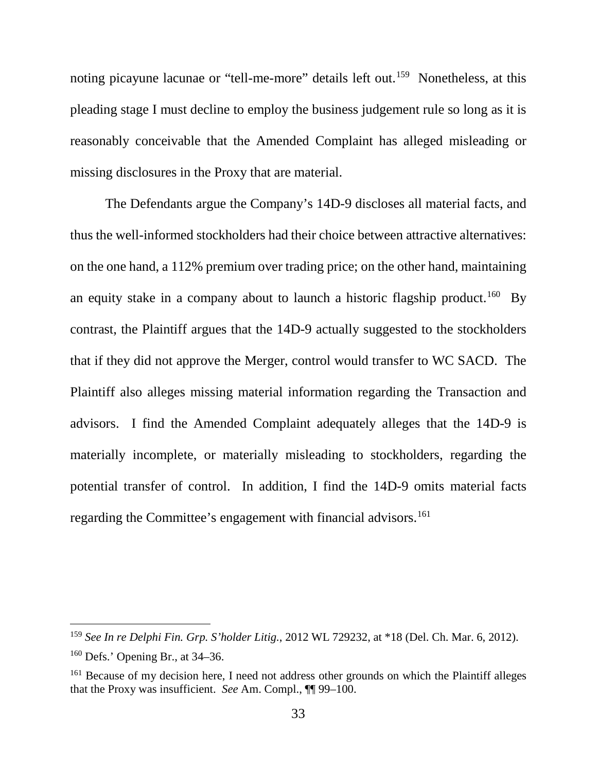noting picayune lacunae or "tell-me-more" details left out.<sup>159</sup> Nonetheless, at this pleading stage I must decline to employ the business judgement rule so long as it is reasonably conceivable that the Amended Complaint has alleged misleading or missing disclosures in the Proxy that are material.

The Defendants argue the Company's 14D-9 discloses all material facts, and thus the well-informed stockholders had their choice between attractive alternatives: on the one hand, a 112% premium over trading price; on the other hand, maintaining an equity stake in a company about to launch a historic flagship product.<sup>160</sup> By contrast, the Plaintiff argues that the 14D-9 actually suggested to the stockholders that if they did not approve the Merger, control would transfer to WC SACD. The Plaintiff also alleges missing material information regarding the Transaction and advisors. I find the Amended Complaint adequately alleges that the 14D-9 is materially incomplete, or materially misleading to stockholders, regarding the potential transfer of control. In addition, I find the 14D-9 omits material facts regarding the Committee's engagement with financial advisors.<sup>161</sup>

 <sup>159</sup> *See In re Delphi Fin. Grp. S'holder Litig.*, 2012 WL 729232, at \*18 (Del. Ch. Mar. 6, 2012).

 $160$  Defs.' Opening Br., at 34–36.

<sup>&</sup>lt;sup>161</sup> Because of my decision here, I need not address other grounds on which the Plaintiff alleges that the Proxy was insufficient. *See* Am. Compl., ¶¶ 99–100.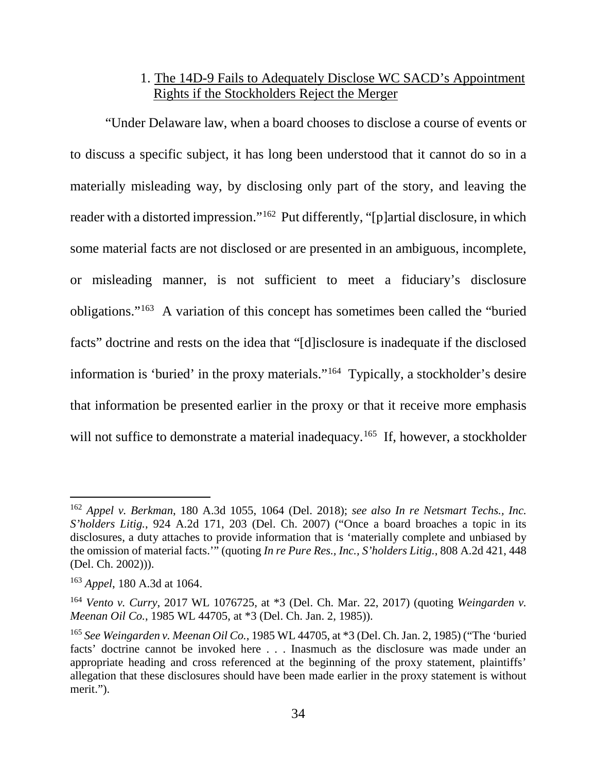# 1. The 14D-9 Fails to Adequately Disclose WC SACD's Appointment Rights if the Stockholders Reject the Merger

"Under Delaware law, when a board chooses to disclose a course of events or to discuss a specific subject, it has long been understood that it cannot do so in a materially misleading way, by disclosing only part of the story, and leaving the reader with a distorted impression."162 Put differently, "[p]artial disclosure, in which some material facts are not disclosed or are presented in an ambiguous, incomplete, or misleading manner, is not sufficient to meet a fiduciary's disclosure obligations."163 A variation of this concept has sometimes been called the "buried facts" doctrine and rests on the idea that "[d]isclosure is inadequate if the disclosed information is 'buried' in the proxy materials."164 Typically, a stockholder's desire that information be presented earlier in the proxy or that it receive more emphasis will not suffice to demonstrate a material inadequacy.<sup>165</sup> If, however, a stockholder

 <sup>162</sup> *Appel v. Berkman*, 180 A.3d 1055, 1064 (Del. 2018); *see also In re Netsmart Techs., Inc. S'holders Litig.*, 924 A.2d 171, 203 (Del. Ch. 2007) ("Once a board broaches a topic in its disclosures, a duty attaches to provide information that is 'materially complete and unbiased by the omission of material facts.'" (quoting *In re Pure Res., Inc., S'holders Litig.*, 808 A.2d 421, 448 (Del. Ch. 2002))).

<sup>163</sup> *Appel*, 180 A.3d at 1064.

<sup>164</sup> *Vento v. Curry*, 2017 WL 1076725, at \*3 (Del. Ch. Mar. 22, 2017) (quoting *Weingarden v. Meenan Oil Co.*, 1985 WL 44705, at \*3 (Del. Ch. Jan. 2, 1985)).

<sup>165</sup> *See Weingarden v. Meenan Oil Co.*, 1985 WL 44705, at \*3 (Del. Ch. Jan. 2, 1985) ("The 'buried facts' doctrine cannot be invoked here . . . Inasmuch as the disclosure was made under an appropriate heading and cross referenced at the beginning of the proxy statement, plaintiffs' allegation that these disclosures should have been made earlier in the proxy statement is without merit.").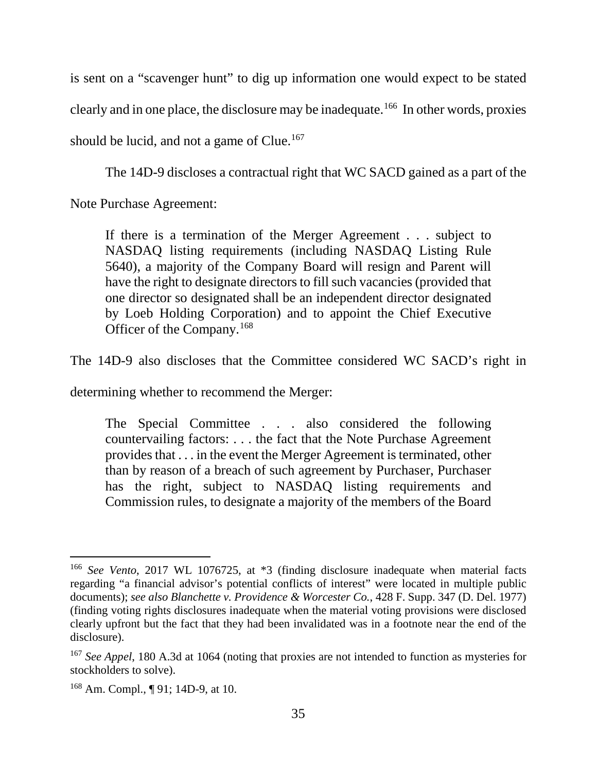is sent on a "scavenger hunt" to dig up information one would expect to be stated clearly and in one place, the disclosure may be inadequate.166 In other words, proxies should be lucid, and not a game of Clue.<sup>167</sup>

The 14D-9 discloses a contractual right that WC SACD gained as a part of the

Note Purchase Agreement:

If there is a termination of the Merger Agreement . . . subject to NASDAQ listing requirements (including NASDAQ Listing Rule 5640), a majority of the Company Board will resign and Parent will have the right to designate directors to fill such vacancies (provided that one director so designated shall be an independent director designated by Loeb Holding Corporation) and to appoint the Chief Executive Officer of the Company.168

The 14D-9 also discloses that the Committee considered WC SACD's right in

determining whether to recommend the Merger:

The Special Committee . . . also considered the following countervailing factors: . . . the fact that the Note Purchase Agreement provides that . . . in the event the Merger Agreement is terminated, other than by reason of a breach of such agreement by Purchaser, Purchaser has the right, subject to NASDAQ listing requirements and Commission rules, to designate a majority of the members of the Board

 <sup>166</sup> *See Vento*, 2017 WL 1076725, at \*3 (finding disclosure inadequate when material facts regarding "a financial advisor's potential conflicts of interest" were located in multiple public documents); *see also Blanchette v. Providence & Worcester Co.*, 428 F. Supp. 347 (D. Del. 1977) (finding voting rights disclosures inadequate when the material voting provisions were disclosed clearly upfront but the fact that they had been invalidated was in a footnote near the end of the disclosure).

<sup>167</sup> *See Appel*, 180 A.3d at 1064 (noting that proxies are not intended to function as mysteries for stockholders to solve).

<sup>168</sup> Am. Compl., ¶ 91; 14D-9, at 10.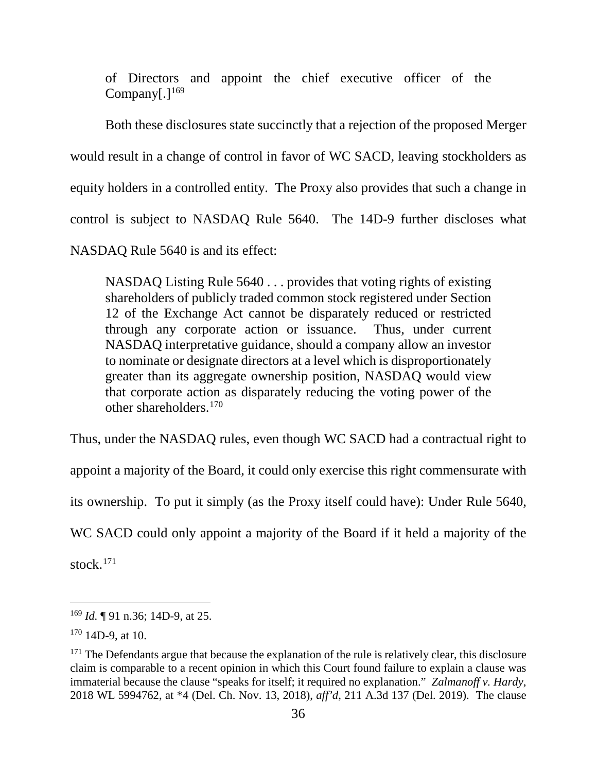of Directors and appoint the chief executive officer of the Company $[.]^{169}$ 

Both these disclosures state succinctly that a rejection of the proposed Merger would result in a change of control in favor of WC SACD, leaving stockholders as equity holders in a controlled entity. The Proxy also provides that such a change in control is subject to NASDAQ Rule 5640. The 14D-9 further discloses what NASDAQ Rule 5640 is and its effect:

NASDAQ Listing Rule 5640 . . . provides that voting rights of existing shareholders of publicly traded common stock registered under Section 12 of the Exchange Act cannot be disparately reduced or restricted through any corporate action or issuance. Thus, under current NASDAQ interpretative guidance, should a company allow an investor to nominate or designate directors at a level which is disproportionately greater than its aggregate ownership position, NASDAQ would view that corporate action as disparately reducing the voting power of the other shareholders.170

Thus, under the NASDAQ rules, even though WC SACD had a contractual right to

appoint a majority of the Board, it could only exercise this right commensurate with

its ownership. To put it simply (as the Proxy itself could have): Under Rule 5640,

WC SACD could only appoint a majority of the Board if it held a majority of the

stock.171

 <sup>169</sup> *Id.* ¶ 91 n.36; 14D-9, at 25.

 $170$  14D-9, at 10.

 $171$  The Defendants argue that because the explanation of the rule is relatively clear, this disclosure claim is comparable to a recent opinion in which this Court found failure to explain a clause was immaterial because the clause "speaks for itself; it required no explanation." *Zalmanoff v. Hardy*, 2018 WL 5994762, at \*4 (Del. Ch. Nov. 13, 2018), *aff'd*, 211 A.3d 137 (Del. 2019). The clause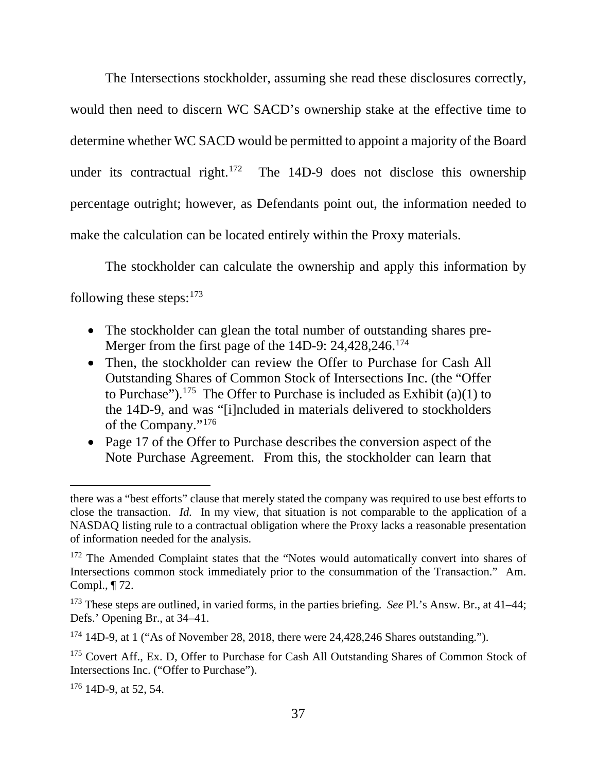The Intersections stockholder, assuming she read these disclosures correctly, would then need to discern WC SACD's ownership stake at the effective time to determine whether WC SACD would be permitted to appoint a majority of the Board under its contractual right.<sup>172</sup> The 14D-9 does not disclose this ownership percentage outright; however, as Defendants point out, the information needed to make the calculation can be located entirely within the Proxy materials.

The stockholder can calculate the ownership and apply this information by following these steps:  $173$ 

- The stockholder can glean the total number of outstanding shares pre-Merger from the first page of the 14D-9: 24,428,246.<sup>174</sup>
- Then, the stockholder can review the Offer to Purchase for Cash All Outstanding Shares of Common Stock of Intersections Inc. (the "Offer to Purchase").<sup>175</sup> The Offer to Purchase is included as Exhibit (a)(1) to the 14D-9, and was "[i]ncluded in materials delivered to stockholders of the Company."176
- Page 17 of the Offer to Purchase describes the conversion aspect of the Note Purchase Agreement. From this, the stockholder can learn that

 $176$  14D-9, at 52, 54.

 $\overline{a}$ 

there was a "best efforts" clause that merely stated the company was required to use best efforts to close the transaction. *Id.* In my view, that situation is not comparable to the application of a NASDAQ listing rule to a contractual obligation where the Proxy lacks a reasonable presentation of information needed for the analysis.

<sup>&</sup>lt;sup>172</sup> The Amended Complaint states that the "Notes would automatically convert into shares of Intersections common stock immediately prior to the consummation of the Transaction." Am. Compl., ¶ 72.

<sup>173</sup> These steps are outlined, in varied forms, in the parties briefing. *See* Pl.'s Answ. Br., at 41–44; Defs.' Opening Br., at 34–41.

 $174$  14D-9, at 1 ("As of November 28, 2018, there were 24,428,246 Shares outstanding.").

<sup>&</sup>lt;sup>175</sup> Covert Aff., Ex. D, Offer to Purchase for Cash All Outstanding Shares of Common Stock of Intersections Inc. ("Offer to Purchase").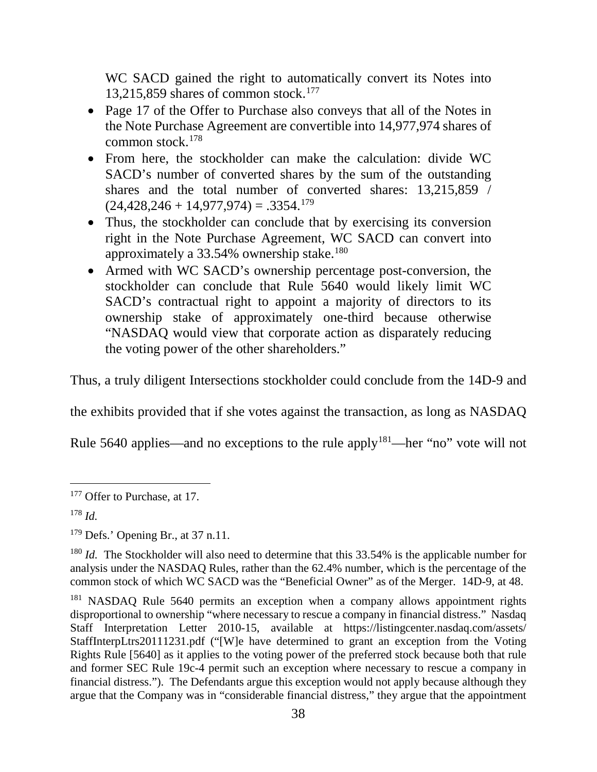WC SACD gained the right to automatically convert its Notes into 13,215,859 shares of common stock. 177

- Page 17 of the Offer to Purchase also conveys that all of the Notes in the Note Purchase Agreement are convertible into 14,977,974 shares of common stock.178
- From here, the stockholder can make the calculation: divide WC SACD's number of converted shares by the sum of the outstanding shares and the total number of converted shares: 13,215,859 /  $(24,428,246 + 14,977,974) = .3354$ <sup>179</sup>
- Thus, the stockholder can conclude that by exercising its conversion right in the Note Purchase Agreement, WC SACD can convert into approximately a  $33.54\%$  ownership stake.<sup>180</sup>
- Armed with WC SACD's ownership percentage post-conversion, the stockholder can conclude that Rule 5640 would likely limit WC SACD's contractual right to appoint a majority of directors to its ownership stake of approximately one-third because otherwise "NASDAQ would view that corporate action as disparately reducing the voting power of the other shareholders."

Thus, a truly diligent Intersections stockholder could conclude from the 14D-9 and

the exhibits provided that if she votes against the transaction, as long as NASDAQ

Rule 5640 applies—and no exceptions to the rule apply<sup>181</sup>—her "no" vote will not

<sup>&</sup>lt;sup>177</sup> Offer to Purchase, at 17.

<sup>178</sup> *Id.*

 $179$  Defs.' Opening Br., at 37 n.11.

<sup>&</sup>lt;sup>180</sup> *Id.* The Stockholder will also need to determine that this 33.54% is the applicable number for analysis under the NASDAQ Rules, rather than the 62.4% number, which is the percentage of the common stock of which WC SACD was the "Beneficial Owner" as of the Merger. 14D-9, at 48.

<sup>&</sup>lt;sup>181</sup> NASDAQ Rule 5640 permits an exception when a company allows appointment rights disproportional to ownership "where necessary to rescue a company in financial distress." Nasdaq Staff Interpretation Letter 2010-15, available at https://listingcenter.nasdaq.com/assets/ StaffInterpLtrs20111231.pdf ("[W]e have determined to grant an exception from the Voting Rights Rule [5640] as it applies to the voting power of the preferred stock because both that rule and former SEC Rule 19c-4 permit such an exception where necessary to rescue a company in financial distress."). The Defendants argue this exception would not apply because although they argue that the Company was in "considerable financial distress," they argue that the appointment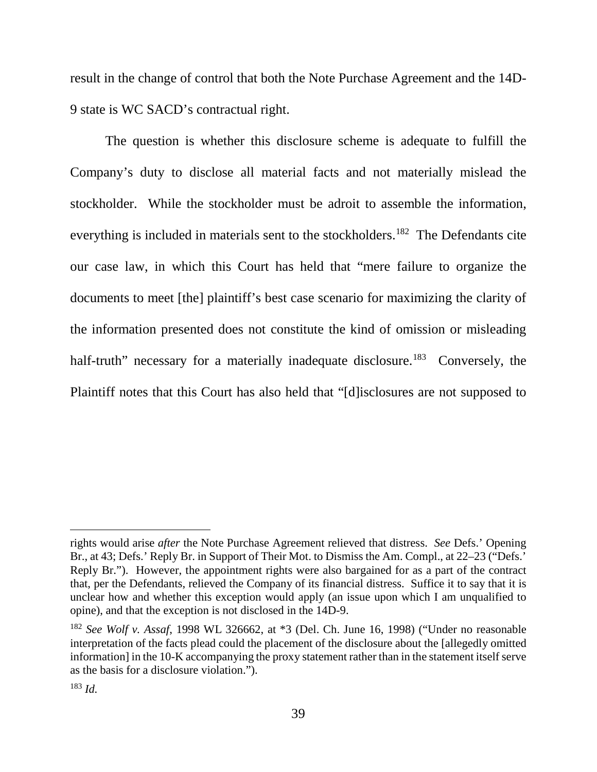result in the change of control that both the Note Purchase Agreement and the 14D-9 state is WC SACD's contractual right.

The question is whether this disclosure scheme is adequate to fulfill the Company's duty to disclose all material facts and not materially mislead the stockholder. While the stockholder must be adroit to assemble the information, everything is included in materials sent to the stockholders.<sup>182</sup> The Defendants cite our case law, in which this Court has held that "mere failure to organize the documents to meet [the] plaintiff's best case scenario for maximizing the clarity of the information presented does not constitute the kind of omission or misleading half-truth" necessary for a materially inadequate disclosure.<sup>183</sup> Conversely, the Plaintiff notes that this Court has also held that "[d]isclosures are not supposed to

 $\overline{a}$ 

rights would arise *after* the Note Purchase Agreement relieved that distress. *See* Defs.' Opening Br., at 43; Defs.' Reply Br. in Support of Their Mot. to Dismiss the Am. Compl., at 22–23 ("Defs.' Reply Br."). However, the appointment rights were also bargained for as a part of the contract that, per the Defendants, relieved the Company of its financial distress. Suffice it to say that it is unclear how and whether this exception would apply (an issue upon which I am unqualified to opine), and that the exception is not disclosed in the 14D-9.

<sup>182</sup> *See Wolf v. Assaf*, 1998 WL 326662, at \*3 (Del. Ch. June 16, 1998) ("Under no reasonable interpretation of the facts plead could the placement of the disclosure about the [allegedly omitted information] in the 10-K accompanying the proxy statement rather than in the statement itself serve as the basis for a disclosure violation.").

<sup>183</sup> *Id.*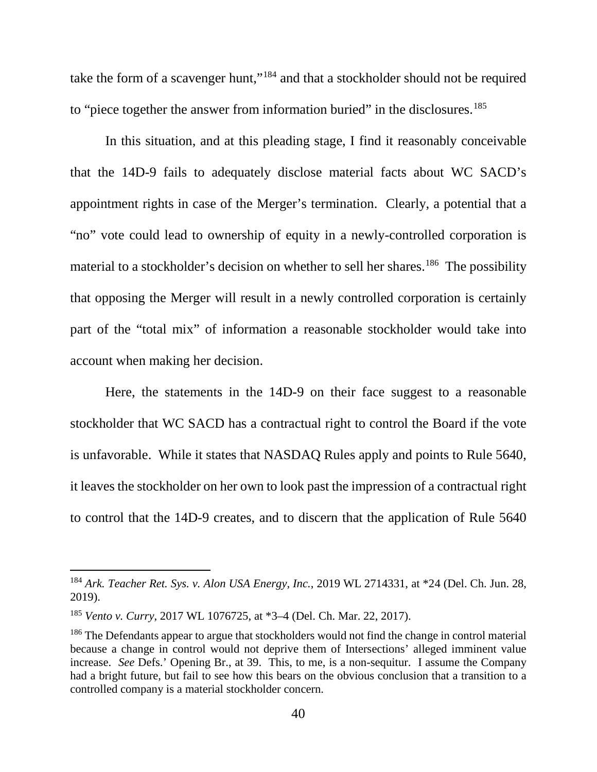take the form of a scavenger hunt,"<sup>184</sup> and that a stockholder should not be required to "piece together the answer from information buried" in the disclosures.<sup>185</sup>

In this situation, and at this pleading stage, I find it reasonably conceivable that the 14D-9 fails to adequately disclose material facts about WC SACD's appointment rights in case of the Merger's termination. Clearly, a potential that a "no" vote could lead to ownership of equity in a newly-controlled corporation is material to a stockholder's decision on whether to sell her shares.<sup>186</sup> The possibility that opposing the Merger will result in a newly controlled corporation is certainly part of the "total mix" of information a reasonable stockholder would take into account when making her decision.

Here, the statements in the 14D-9 on their face suggest to a reasonable stockholder that WC SACD has a contractual right to control the Board if the vote is unfavorable. While it states that NASDAQ Rules apply and points to Rule 5640, it leaves the stockholder on her own to look past the impression of a contractual right to control that the 14D-9 creates, and to discern that the application of Rule 5640

 <sup>184</sup> *Ark. Teacher Ret. Sys. v. Alon USA Energy, Inc.*, 2019 WL 2714331, at \*24 (Del. Ch. Jun. 28, 2019).

<sup>185</sup> *Vento v. Curry*, 2017 WL 1076725, at \*3–4 (Del. Ch. Mar. 22, 2017).

<sup>&</sup>lt;sup>186</sup> The Defendants appear to argue that stockholders would not find the change in control material because a change in control would not deprive them of Intersections' alleged imminent value increase. *See* Defs.' Opening Br., at 39. This, to me, is a non-sequitur. I assume the Company had a bright future, but fail to see how this bears on the obvious conclusion that a transition to a controlled company is a material stockholder concern.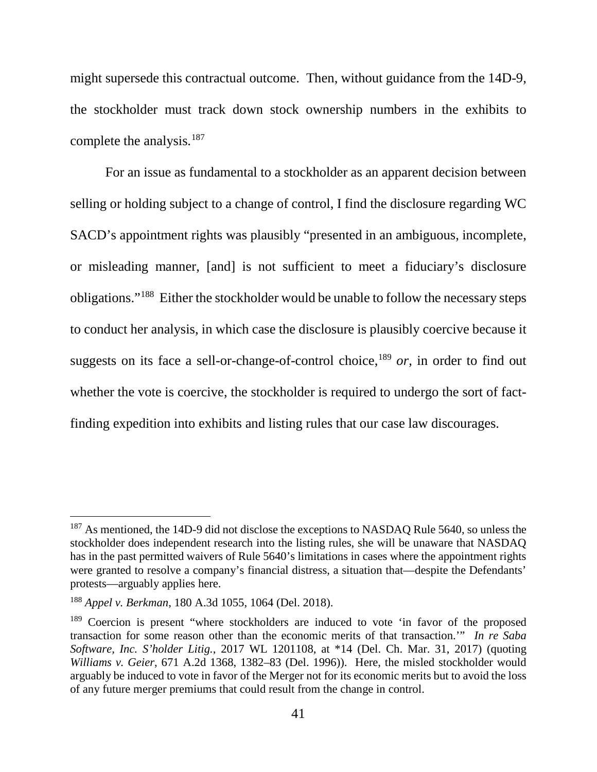might supersede this contractual outcome. Then, without guidance from the 14D-9, the stockholder must track down stock ownership numbers in the exhibits to complete the analysis.<sup>187</sup>

For an issue as fundamental to a stockholder as an apparent decision between selling or holding subject to a change of control, I find the disclosure regarding WC SACD's appointment rights was plausibly "presented in an ambiguous, incomplete, or misleading manner, [and] is not sufficient to meet a fiduciary's disclosure obligations."188 Either the stockholder would be unable to follow the necessary steps to conduct her analysis, in which case the disclosure is plausibly coercive because it suggests on its face a sell-or-change-of-control choice, <sup>189</sup> *or*, in order to find out whether the vote is coercive, the stockholder is required to undergo the sort of factfinding expedition into exhibits and listing rules that our case law discourages.

 $187$  As mentioned, the 14D-9 did not disclose the exceptions to NASDAQ Rule 5640, so unless the stockholder does independent research into the listing rules, she will be unaware that NASDAQ has in the past permitted waivers of Rule 5640's limitations in cases where the appointment rights were granted to resolve a company's financial distress, a situation that—despite the Defendants' protests—arguably applies here.

<sup>188</sup> *Appel v. Berkman*, 180 A.3d 1055, 1064 (Del. 2018).

<sup>&</sup>lt;sup>189</sup> Coercion is present "where stockholders are induced to vote 'in favor of the proposed transaction for some reason other than the economic merits of that transaction.'" *In re Saba Software, Inc. S'holder Litig.*, 2017 WL 1201108, at \*14 (Del. Ch. Mar. 31, 2017) (quoting *Williams v. Geier*, 671 A.2d 1368, 1382–83 (Del. 1996)). Here, the misled stockholder would arguably be induced to vote in favor of the Merger not for its economic merits but to avoid the loss of any future merger premiums that could result from the change in control.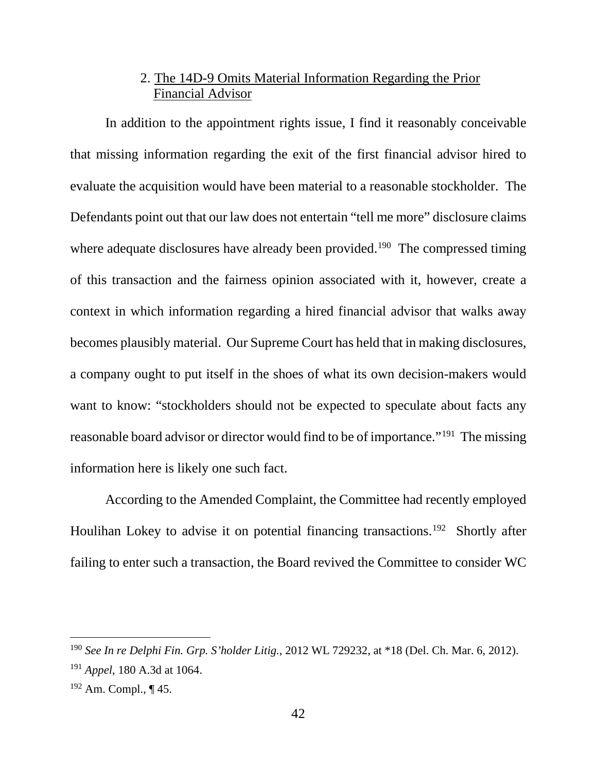# 2. The 14D-9 Omits Material Information Regarding the Prior Financial Advisor

In addition to the appointment rights issue, I find it reasonably conceivable that missing information regarding the exit of the first financial advisor hired to evaluate the acquisition would have been material to a reasonable stockholder. The Defendants point out that our law does not entertain "tell me more" disclosure claims where adequate disclosures have already been provided.<sup>190</sup> The compressed timing of this transaction and the fairness opinion associated with it, however, create a context in which information regarding a hired financial advisor that walks away becomes plausibly material. Our Supreme Court has held that in making disclosures, a company ought to put itself in the shoes of what its own decision-makers would want to know: "stockholders should not be expected to speculate about facts any reasonable board advisor or director would find to be of importance."191 The missing information here is likely one such fact.

According to the Amended Complaint, the Committee had recently employed Houlihan Lokey to advise it on potential financing transactions.<sup>192</sup> Shortly after failing to enter such a transaction, the Board revived the Committee to consider WC

 <sup>190</sup> *See In re Delphi Fin. Grp. S'holder Litig.*, 2012 WL 729232, at \*18 (Del. Ch. Mar. 6, 2012).

<sup>191</sup> *Appel*, 180 A.3d at 1064.

 $192$  Am. Compl.,  $\P$  45.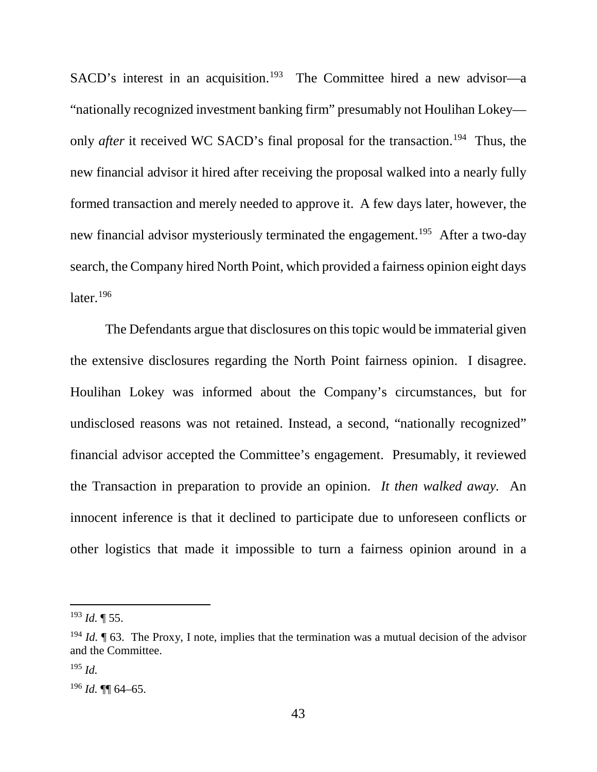SACD's interest in an acquisition.<sup>193</sup> The Committee hired a new advisor-a "nationally recognized investment banking firm" presumably not Houlihan Lokey only *after* it received WC SACD's final proposal for the transaction.<sup>194</sup> Thus, the new financial advisor it hired after receiving the proposal walked into a nearly fully formed transaction and merely needed to approve it. A few days later, however, the new financial advisor mysteriously terminated the engagement.<sup>195</sup> After a two-day search, the Company hired North Point, which provided a fairness opinion eight days later. $196$ 

The Defendants argue that disclosures on this topic would be immaterial given the extensive disclosures regarding the North Point fairness opinion. I disagree. Houlihan Lokey was informed about the Company's circumstances, but for undisclosed reasons was not retained. Instead, a second, "nationally recognized" financial advisor accepted the Committee's engagement. Presumably, it reviewed the Transaction in preparation to provide an opinion. *It then walked away.* An innocent inference is that it declined to participate due to unforeseen conflicts or other logistics that made it impossible to turn a fairness opinion around in a

 <sup>193</sup> *Id.* ¶ 55.

<sup>&</sup>lt;sup>194</sup> *Id.* [63.] The Proxy, I note, implies that the termination was a mutual decision of the advisor and the Committee.

<sup>195</sup> *Id.*

<sup>196</sup> *Id.* ¶¶ 64–65.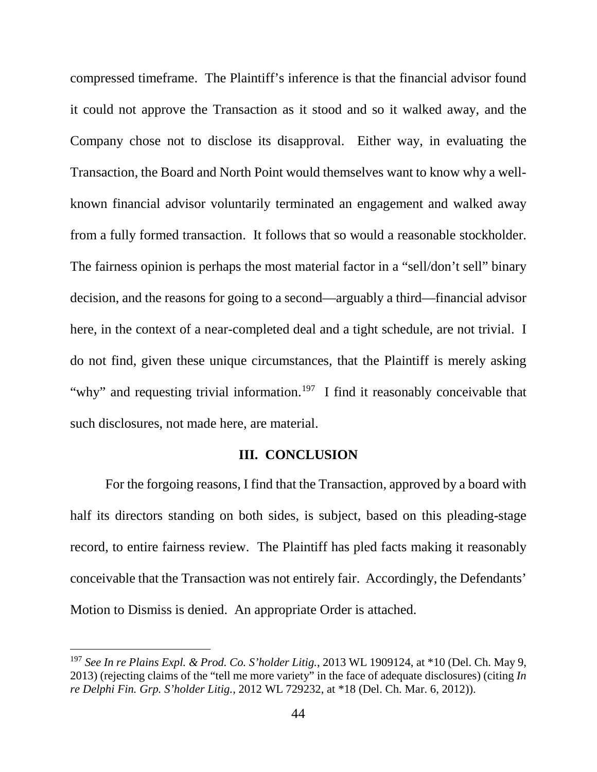compressed timeframe. The Plaintiff's inference is that the financial advisor found it could not approve the Transaction as it stood and so it walked away, and the Company chose not to disclose its disapproval. Either way, in evaluating the Transaction, the Board and North Point would themselves want to know why a wellknown financial advisor voluntarily terminated an engagement and walked away from a fully formed transaction. It follows that so would a reasonable stockholder. The fairness opinion is perhaps the most material factor in a "sell/don't sell" binary decision, and the reasons for going to a second—arguably a third—financial advisor here, in the context of a near-completed deal and a tight schedule, are not trivial. I do not find, given these unique circumstances, that the Plaintiff is merely asking "why" and requesting trivial information.<sup>197</sup> I find it reasonably conceivable that such disclosures, not made here, are material.

### **III. CONCLUSION**

For the forgoing reasons, I find that the Transaction, approved by a board with half its directors standing on both sides, is subject, based on this pleading-stage record, to entire fairness review. The Plaintiff has pled facts making it reasonably conceivable that the Transaction was not entirely fair. Accordingly, the Defendants' Motion to Dismiss is denied. An appropriate Order is attached.

 <sup>197</sup> *See In re Plains Expl. & Prod. Co. S'holder Litig.*, 2013 WL 1909124, at \*10 (Del. Ch. May 9, 2013) (rejecting claims of the "tell me more variety" in the face of adequate disclosures) (citing *In re Delphi Fin. Grp. S'holder Litig.*, 2012 WL 729232, at \*18 (Del. Ch. Mar. 6, 2012)).